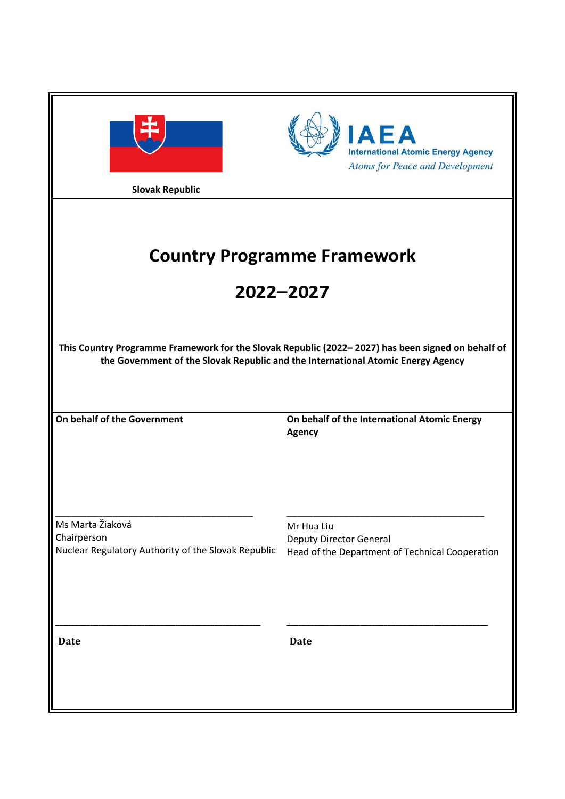| <b>Slovak Republic</b>                                                                 | <b>IAEA</b><br><b>International Atomic Energy Agency</b><br><b>Atoms for Peace and Development</b>                                                                                    |
|----------------------------------------------------------------------------------------|---------------------------------------------------------------------------------------------------------------------------------------------------------------------------------------|
|                                                                                        | <b>Country Programme Framework</b><br>2022-2027                                                                                                                                       |
|                                                                                        | This Country Programme Framework for the Slovak Republic (2022-2027) has been signed on behalf of<br>the Government of the Slovak Republic and the International Atomic Energy Agency |
| On behalf of the Government                                                            | On behalf of the International Atomic Energy<br><b>Agency</b>                                                                                                                         |
| Ms Marta Žiaková<br>Chairperson<br>Nuclear Regulatory Authority of the Slovak Republic | Mr Hua Liu<br><b>Deputy Director General</b><br>Head of the Department of Technical Cooperation                                                                                       |
| <b>Date</b>                                                                            | <b>Date</b>                                                                                                                                                                           |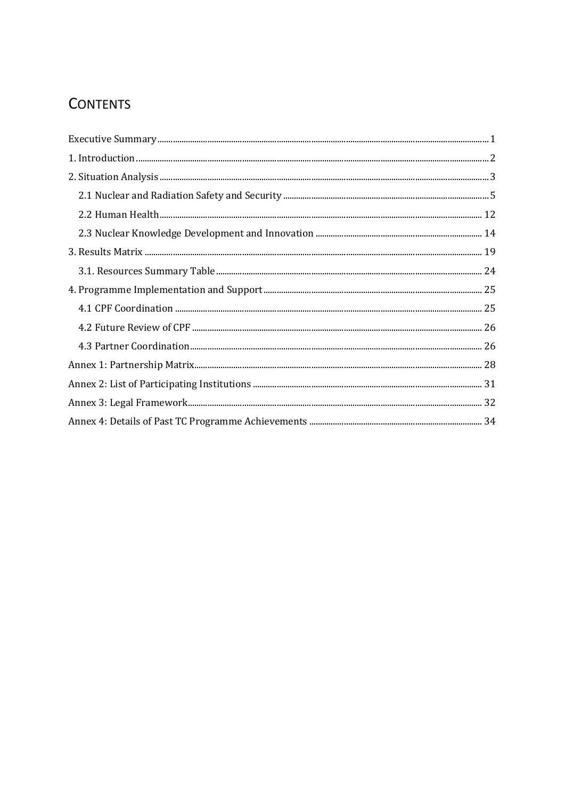# **CONTENTS**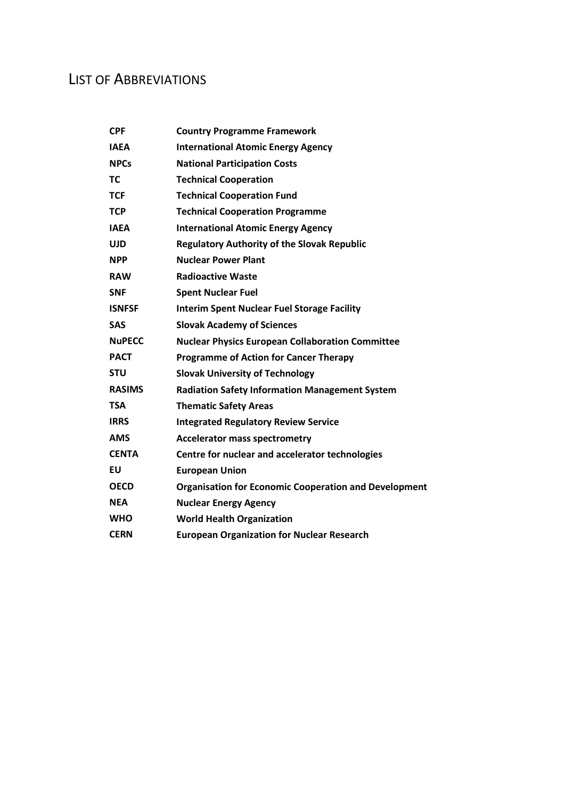# LIST OF ABBREVIATIONS

| <b>CPF</b>    | <b>Country Programme Framework</b>                           |
|---------------|--------------------------------------------------------------|
| <b>IAEA</b>   | <b>International Atomic Energy Agency</b>                    |
| <b>NPCs</b>   | <b>National Participation Costs</b>                          |
| <b>TC</b>     | <b>Technical Cooperation</b>                                 |
| <b>TCF</b>    | <b>Technical Cooperation Fund</b>                            |
| <b>TCP</b>    | <b>Technical Cooperation Programme</b>                       |
| <b>IAEA</b>   | <b>International Atomic Energy Agency</b>                    |
| <b>UJD</b>    | <b>Regulatory Authority of the Slovak Republic</b>           |
| <b>NPP</b>    | <b>Nuclear Power Plant</b>                                   |
| <b>RAW</b>    | <b>Radioactive Waste</b>                                     |
| <b>SNF</b>    | <b>Spent Nuclear Fuel</b>                                    |
| <b>ISNFSF</b> | <b>Interim Spent Nuclear Fuel Storage Facility</b>           |
| <b>SAS</b>    | <b>Slovak Academy of Sciences</b>                            |
| <b>NuPECC</b> | <b>Nuclear Physics European Collaboration Committee</b>      |
| <b>PACT</b>   | <b>Programme of Action for Cancer Therapy</b>                |
| <b>STU</b>    | <b>Slovak University of Technology</b>                       |
| <b>RASIMS</b> | <b>Radiation Safety Information Management System</b>        |
| <b>TSA</b>    | <b>Thematic Safety Areas</b>                                 |
| <b>IRRS</b>   | <b>Integrated Regulatory Review Service</b>                  |
| <b>AMS</b>    | <b>Accelerator mass spectrometry</b>                         |
| <b>CENTA</b>  | Centre for nuclear and accelerator technologies              |
| EU            | <b>European Union</b>                                        |
| <b>OECD</b>   | <b>Organisation for Economic Cooperation and Development</b> |
| <b>NEA</b>    | <b>Nuclear Energy Agency</b>                                 |
| <b>WHO</b>    | <b>World Health Organization</b>                             |
| <b>CERN</b>   | <b>European Organization for Nuclear Research</b>            |
|               |                                                              |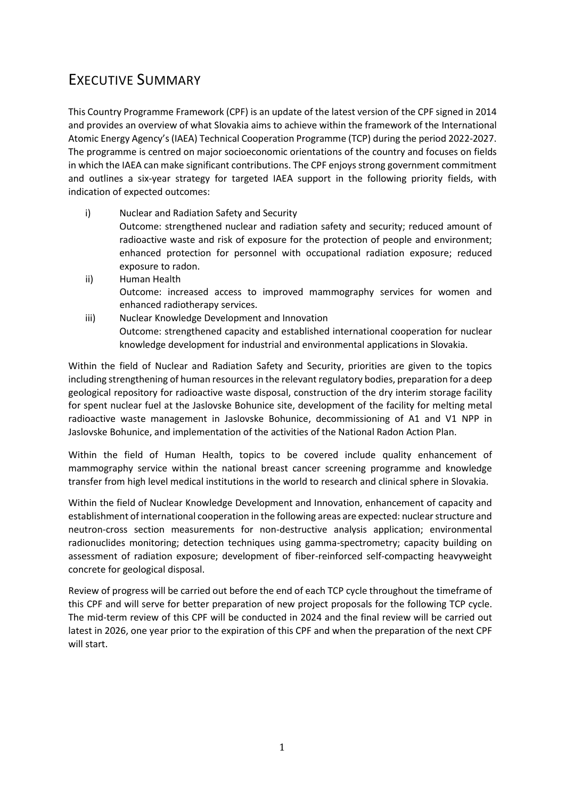# <span id="page-3-0"></span>EXECUTIVE SUMMARY

This Country Programme Framework (CPF) is an update of the latest version of the CPF signed in 2014 and provides an overview of what Slovakia aims to achieve within the framework of the International Atomic Energy Agency's (IAEA) Technical Cooperation Programme (TCP) during the period 2022-2027. The programme is centred on major socioeconomic orientations of the country and focuses on fields in which the IAEA can make significant contributions. The CPF enjoys strong government commitment and outlines a six-year strategy for targeted IAEA support in the following priority fields, with indication of expected outcomes:

- i) Nuclear and Radiation Safety and Security Outcome: strengthened nuclear and radiation safety and security; reduced amount of radioactive waste and risk of exposure for the protection of people and environment; enhanced protection for personnel with occupational radiation exposure; reduced exposure to radon.
- ii) Human Health Outcome: increased access to improved mammography services for women and enhanced radiotherapy services.
- iii) Nuclear Knowledge Development and Innovation Outcome: strengthened capacity and established international cooperation for nuclear knowledge development for industrial and environmental applications in Slovakia.

Within the field of Nuclear and Radiation Safety and Security, priorities are given to the topics including strengthening of human resources in the relevant regulatory bodies, preparation for a deep geological repository for radioactive waste disposal, construction of the dry interim storage facility for spent nuclear fuel at the Jaslovske Bohunice site, development of the facility for melting metal radioactive waste management in Jaslovske Bohunice, decommissioning of A1 and V1 NPP in Jaslovske Bohunice, and implementation of the activities of the National Radon Action Plan.

Within the field of Human Health, topics to be covered include quality enhancement of mammography service within the national breast cancer screening programme and knowledge transfer from high level medical institutions in the world to research and clinical sphere in Slovakia.

Within the field of Nuclear Knowledge Development and Innovation, enhancement of capacity and establishment of international cooperation in the following areas are expected: nuclear structure and neutron-cross section measurements for non-destructive analysis application; environmental radionuclides monitoring; detection techniques using gamma-spectrometry; capacity building on assessment of radiation exposure; development of fiber-reinforced self-compacting heavyweight concrete for geological disposal.

Review of progress will be carried out before the end of each TCP cycle throughout the timeframe of this CPF and will serve for better preparation of new project proposals for the following TCP cycle. The mid-term review of this CPF will be conducted in 2024 and the final review will be carried out latest in 2026, one year prior to the expiration of this CPF and when the preparation of the next CPF will start.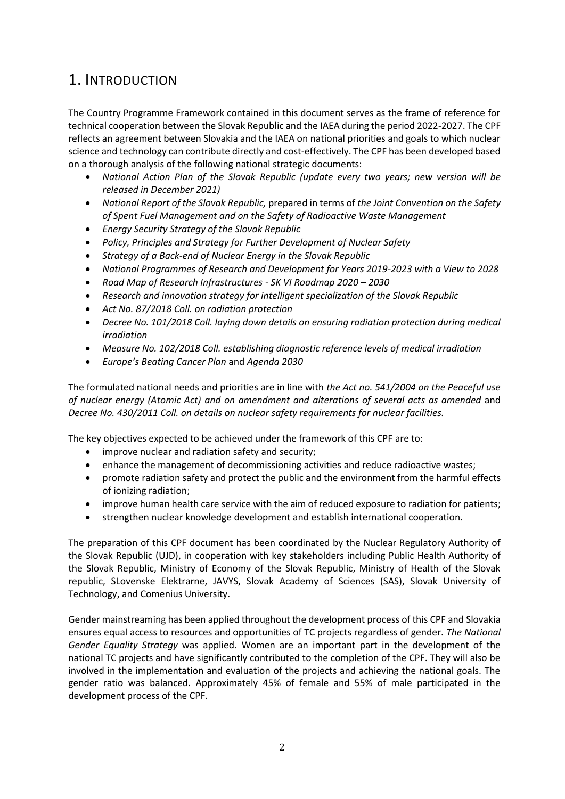# <span id="page-4-0"></span>1. INTRODUCTION

The Country Programme Framework contained in this document serves as the frame of reference for technical cooperation between the Slovak Republic and the IAEA during the period 2022-2027. The CPF reflects an agreement between Slovakia and the IAEA on national priorities and goals to which nuclear science and technology can contribute directly and cost-effectively. The CPF has been developed based on a thorough analysis of the following national strategic documents:

- *National Action Plan of the Slovak Republic (update every two years; new version will be released in December 2021)*
- *National Report of the Slovak Republic,* prepared in terms of *the Joint Convention on the Safety of Spent Fuel Management and on the Safety of Radioactive Waste Management*
- *Energy Security Strategy of the Slovak Republic*
- *Policy, Principles and Strategy for Further Development of Nuclear Safety*
- *Strategy of a Back-end of Nuclear Energy in the Slovak Republic*
- *National Programmes of Research and Development for Years 2019-2023 with a View to 2028*
- *Road Map of Research Infrastructures - SK VI Roadmap 2020 – 2030*
- *Research and innovation strategy for intelligent specialization of the Slovak Republic*
- *Act No. 87/2018 Coll. on radiation protection*
- *Decree No. 101/2018 Coll. laying down details on ensuring radiation protection during medical irradiation*
- *Measure No. 102/2018 Coll. establishing diagnostic reference levels of medical irradiation*
- *Europe's Beating Cancer Plan* and *Agenda 2030*

The formulated national needs and priorities are in line with *the Act no. 541/2004 on the Peaceful use of nuclear energy (Atomic Act) and on amendment and alterations of several acts as amended* and *Decree No. 430/2011 Coll. on details on nuclear safety requirements for nuclear facilities.*

The key objectives expected to be achieved under the framework of this CPF are to:

- improve nuclear and radiation safety and security;
- enhance the management of decommissioning activities and reduce radioactive wastes;
- promote radiation safety and protect the public and the environment from the harmful effects of ionizing radiation;
- improve human health care service with the aim of reduced exposure to radiation for patients;
- strengthen nuclear knowledge development and establish international cooperation.

The preparation of this CPF document has been coordinated by the Nuclear Regulatory Authority of the Slovak Republic (UJD), in cooperation with key stakeholders including Public Health Authority of the Slovak Republic, Ministry of Economy of the Slovak Republic, Ministry of Health of the Slovak republic, SLovenske Elektrarne, JAVYS, Slovak Academy of Sciences (SAS), Slovak University of Technology, and Comenius University.

Gender mainstreaming has been applied throughout the development process of this CPF and Slovakia ensures equal access to resources and opportunities of TC projects regardless of gender. *The National Gender Equality Strategy* was applied. Women are an important part in the development of the national TC projects and have significantly contributed to the completion of the CPF. They will also be involved in the implementation and evaluation of the projects and achieving the national goals. The gender ratio was balanced. Approximately 45% of female and 55% of male participated in the development process of the CPF.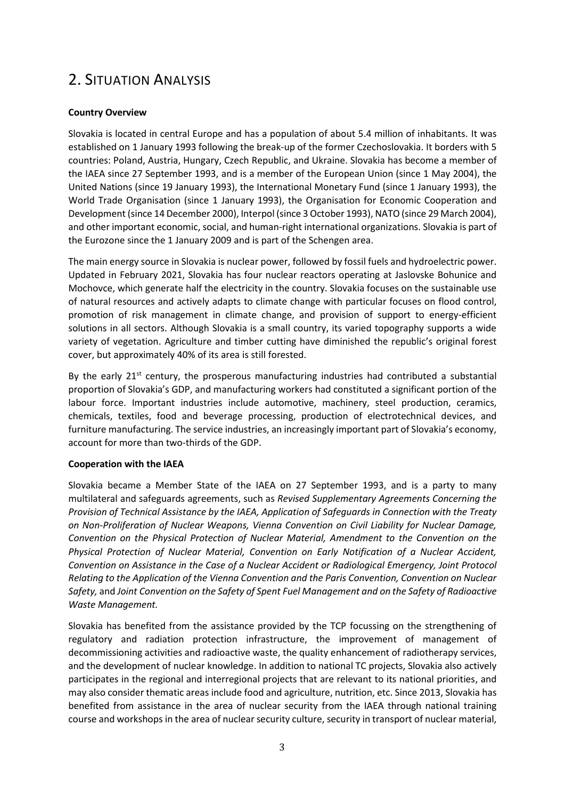# <span id="page-5-0"></span>2. SITUATION ANALYSIS

## **Country Overview**

Slovakia is located in central Europe and has a population of about 5.4 million of inhabitants. It was established on 1 January 1993 following the break-up of the former Czechoslovakia. It borders with 5 countries: Poland, Austria, Hungary, Czech Republic, and Ukraine. Slovakia has become a member of the IAEA since 27 September 1993, and is a member of the European Union (since 1 May 2004), the United Nations (since 19 January 1993), the International Monetary Fund (since 1 January 1993), the World Trade Organisation (since 1 January 1993), the Organisation for Economic Cooperation and Development (since 14 December 2000), Interpol (since 3 October 1993), NATO(since 29 March 2004), and other important economic, social, and human-right international organizations. Slovakia is part of the Eurozone since the 1 January 2009 and is part of the Schengen area.

The main energy source in Slovakia is nuclear power, followed by fossil fuels and hydroelectric power. Updated in February 2021, Slovakia has four nuclear reactors operating at Jaslovske Bohunice and Mochovce, which generate half the electricity in the country. Slovakia focuses on the sustainable use of natural resources and actively adapts to climate change with particular focuses on flood control, promotion of risk management in climate change, and provision of support to energy-efficient solutions in all sectors. Although Slovakia is a small country, its varied topography supports a wide variety of vegetation. Agriculture and timber cutting have diminished the republic's original forest cover, but approximately 40% of its area is still forested.

By the early  $21<sup>st</sup>$  century, the prosperous manufacturing industries had contributed a substantial proportion of Slovakia's GDP, and manufacturing workers had constituted a significant portion of the labour force. Important industries include automotive, machinery, steel production, ceramics, chemicals, textiles, food and beverage processing, production of electrotechnical devices, and furniture manufacturing. The service industries, an increasingly important part of Slovakia's economy, account for more than two-thirds of the GDP.

#### **Cooperation with the IAEA**

Slovakia became a Member State of the IAEA on 27 September 1993, and is a party to many multilateral and safeguards agreements, such as *Revised Supplementary Agreements Concerning the Provision of Technical Assistance by the IAEA, Application of Safeguards in Connection with the Treaty on Non-Proliferation of Nuclear Weapons, Vienna Convention on Civil Liability for Nuclear Damage, Convention on the Physical Protection of Nuclear Material, Amendment to the Convention on the Physical Protection of Nuclear Material, Convention on Early Notification of a Nuclear Accident, Convention on Assistance in the Case of a Nuclear Accident or Radiological Emergency, Joint Protocol Relating to the Application of the Vienna Convention and the Paris Convention, Convention on Nuclear Safety,* and *Joint Convention on the Safety of Spent Fuel Management and on the Safety of Radioactive Waste Management.*

Slovakia has benefited from the assistance provided by the TCP focussing on the strengthening of regulatory and radiation protection infrastructure, the improvement of management of decommissioning activities and radioactive waste, the quality enhancement of radiotherapy services, and the development of nuclear knowledge. In addition to national TC projects, Slovakia also actively participates in the regional and interregional projects that are relevant to its national priorities, and may also consider thematic areas include food and agriculture, nutrition, etc. Since 2013, Slovakia has benefited from assistance in the area of nuclear security from the IAEA through national training course and workshops in the area of nuclear security culture, security in transport of nuclear material,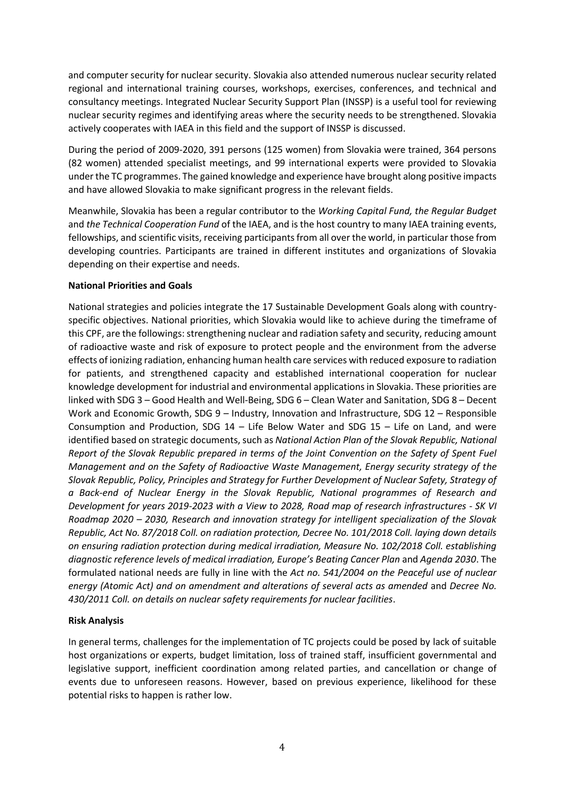and computer security for nuclear security. Slovakia also attended numerous nuclear security related regional and international training courses, workshops, exercises, conferences, and technical and consultancy meetings. Integrated Nuclear Security Support Plan (INSSP) is a useful tool for reviewing nuclear security regimes and identifying areas where the security needs to be strengthened. Slovakia actively cooperates with IAEA in this field and the support of INSSP is discussed.

During the period of 2009-2020, 391 persons (125 women) from Slovakia were trained, 364 persons (82 women) attended specialist meetings, and 99 international experts were provided to Slovakia under the TC programmes. The gained knowledge and experience have brought along positive impacts and have allowed Slovakia to make significant progress in the relevant fields.

Meanwhile, Slovakia has been a regular contributor to the *Working Capital Fund, the Regular Budget*  and *the Technical Cooperation Fund* of the IAEA, and is the host country to many IAEA training events, fellowships, and scientific visits, receiving participants from all over the world, in particular those from developing countries. Participants are trained in different institutes and organizations of Slovakia depending on their expertise and needs.

### **National Priorities and Goals**

National strategies and policies integrate the 17 Sustainable Development Goals along with countryspecific objectives. National priorities, which Slovakia would like to achieve during the timeframe of this CPF, are the followings: strengthening nuclear and radiation safety and security, reducing amount of radioactive waste and risk of exposure to protect people and the environment from the adverse effects of ionizing radiation, enhancing human health care services with reduced exposure to radiation for patients, and strengthened capacity and established international cooperation for nuclear knowledge development for industrial and environmental applications in Slovakia. These priorities are linked with SDG 3 – Good Health and Well-Being, SDG 6 – Clean Water and Sanitation, SDG 8 – Decent Work and Economic Growth, SDG 9 – Industry, Innovation and Infrastructure, SDG 12 – Responsible Consumption and Production, SDG 14 – Life Below Water and SDG 15 – Life on Land, and were identified based on strategic documents, such as *National Action Plan of the Slovak Republic, National Report of the Slovak Republic prepared in terms of the Joint Convention on the Safety of Spent Fuel Management and on the Safety of Radioactive Waste Management, Energy security strategy of the Slovak Republic, Policy, Principles and Strategy for Further Development of Nuclear Safety, Strategy of a Back-end of Nuclear Energy in the Slovak Republic, National programmes of Research and Development for years 2019-2023 with a View to 2028, Road map of research infrastructures - SK VI Roadmap 2020 – 2030, Research and innovation strategy for intelligent specialization of the Slovak Republic, Act No. 87/2018 Coll. on radiation protection, Decree No. 101/2018 Coll. laying down details on ensuring radiation protection during medical irradiation, Measure No. 102/2018 Coll. establishing diagnostic reference levels of medical irradiation, Europe's Beating Cancer Plan* and *Agenda 2030*. The formulated national needs are fully in line with the *Act no. 541/2004 on the Peaceful use of nuclear energy (Atomic Act) and on amendment and alterations of several acts as amended* and *Decree No. 430/2011 Coll. on details on nuclear safety requirements for nuclear facilities*.

#### **Risk Analysis**

In general terms, challenges for the implementation of TC projects could be posed by lack of suitable host organizations or experts, budget limitation, loss of trained staff, insufficient governmental and legislative support, inefficient coordination among related parties, and cancellation or change of events due to unforeseen reasons. However, based on previous experience, likelihood for these potential risks to happen is rather low.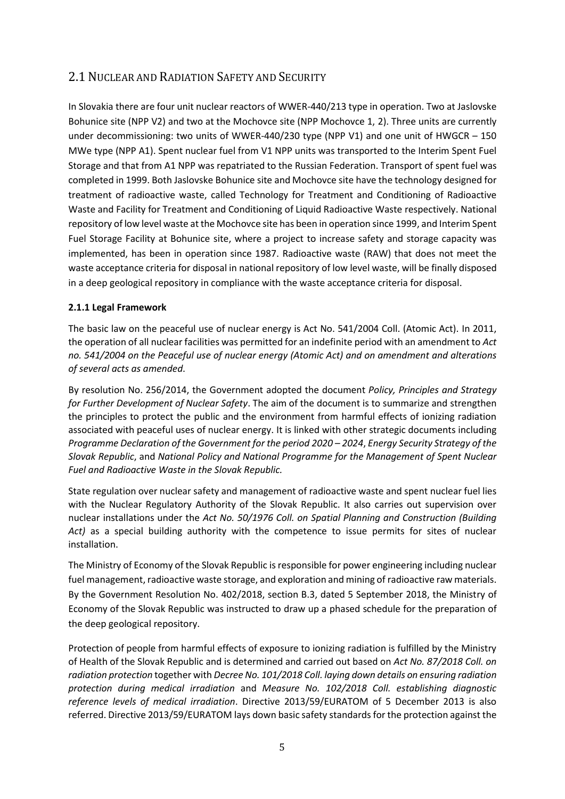# <span id="page-7-0"></span>2.1 NUCLEAR AND RADIATION SAFETY AND SECURITY

In Slovakia there are four unit nuclear reactors of WWER-440/213 type in operation. Two at Jaslovske Bohunice site (NPP V2) and two at the Mochovce site (NPP Mochovce 1, 2). Three units are currently under decommissioning: two units of WWER-440/230 type (NPP V1) and one unit of HWGCR – 150 MWe type (NPP A1). Spent nuclear fuel from V1 NPP units was transported to the Interim Spent Fuel Storage and that from A1 NPP was repatriated to the Russian Federation. Transport of spent fuel was completed in 1999. Both Jaslovske Bohunice site and Mochovce site have the technology designed for treatment of radioactive waste, called Technology for Treatment and Conditioning of Radioactive Waste and Facility for Treatment and Conditioning of Liquid Radioactive Waste respectively. National repository of low level waste at the Mochovce site has been in operation since 1999, and Interim Spent Fuel Storage Facility at Bohunice site, where a project to increase safety and storage capacity was implemented, has been in operation since 1987. Radioactive waste (RAW) that does not meet the waste acceptance criteria for disposal in national repository of low level waste, will be finally disposed in a deep geological repository in compliance with the waste acceptance criteria for disposal.

# **2.1.1 Legal Framework**

The basic law on the peaceful use of nuclear energy is Act No. 541/2004 Coll. (Atomic Act). In 2011, the operation of all nuclear facilities was permitted for an indefinite period with an amendment to *Act no. 541/2004 on the Peaceful use of nuclear energy (Atomic Act) and on amendment and alterations of several acts as amended*.

By resolution No. 256/2014, the Government adopted the document *Policy, Principles and Strategy for Further Development of Nuclear Safety*. The aim of the document is to summarize and strengthen the principles to protect the public and the environment from harmful effects of ionizing radiation associated with peaceful uses of nuclear energy. It is linked with other strategic documents including *Programme Declaration of the Government for the period 2020 – 2024*, *Energy Security Strategy of the Slovak Republic*, and *National Policy and National Programme for the Management of Spent Nuclear Fuel and Radioactive Waste in the Slovak Republic.*

State regulation over nuclear safety and management of radioactive waste and spent nuclear fuel lies with the Nuclear Regulatory Authority of the Slovak Republic. It also carries out supervision over nuclear installations under the *Act No. 50/1976 Coll. on Spatial Planning and Construction (Building Act)* as a special building authority with the competence to issue permits for sites of nuclear installation.

The Ministry of Economy of the Slovak Republic is responsible for power engineering including nuclear fuel management, radioactive waste storage, and exploration and mining of radioactive raw materials. By the Government Resolution No. 402/2018, section B.3, dated 5 September 2018, the Ministry of Economy of the Slovak Republic was instructed to draw up a phased schedule for the preparation of the deep geological repository.

Protection of people from harmful effects of exposure to ionizing radiation is fulfilled by the Ministry of Health of the Slovak Republic and is determined and carried out based on *Act No. 87/2018 Coll. on radiation protection* together with *Decree No. 101/2018 Coll. laying down details on ensuring radiation protection during medical irradiation* and *Measure No. 102/2018 Coll. establishing diagnostic reference levels of medical irradiation*. Directive 2013/59/EURATOM of 5 December 2013 is also referred. Directive 2013/59/EURATOM lays down basic safety standards for the protection against the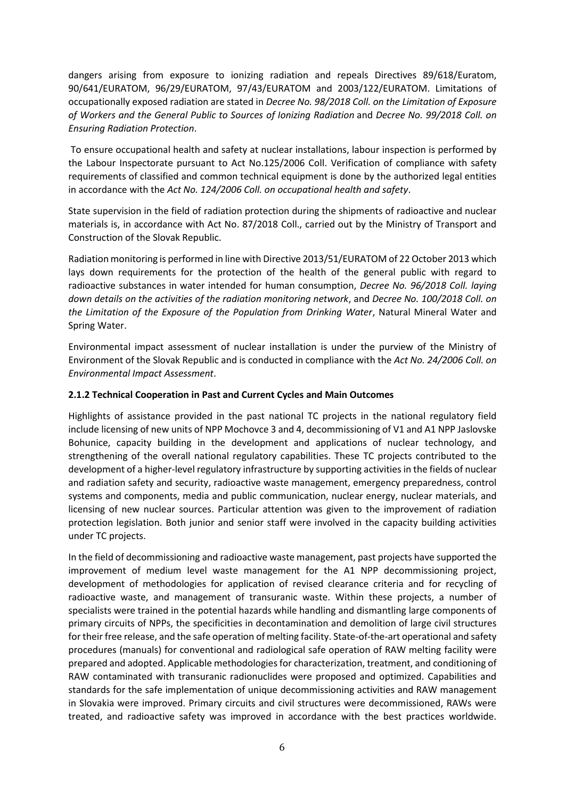dangers arising from exposure to ionizing radiation and repeals Directives 89/618/Euratom, 90/641/EURATOM, 96/29/EURATOM, 97/43/EURATOM and 2003/122/EURATOM. Limitations of occupationally exposed radiation are stated in *Decree No. 98/2018 Coll. on the Limitation of Exposure of Workers and the General Public to Sources of Ionizing Radiation* and *Decree No. 99/2018 Coll. on Ensuring Radiation Protection*.

To ensure occupational health and safety at nuclear installations, labour inspection is performed by the Labour Inspectorate pursuant to Act No.125/2006 Coll. Verification of compliance with safety requirements of classified and common technical equipment is done by the authorized legal entities in accordance with the *Act No. 124/2006 Coll. on occupational health and safety*.

State supervision in the field of radiation protection during the shipments of radioactive and nuclear materials is, in accordance with Act No. 87/2018 Coll., carried out by the Ministry of Transport and Construction of the Slovak Republic.

Radiation monitoring is performed in line with Directive 2013/51/EURATOM of 22 October 2013 which lays down requirements for the protection of the health of the general public with regard to radioactive substances in water intended for human consumption, *Decree No. 96/2018 Coll. laying down details on the activities of the radiation monitoring network*, and *Decree No. 100/2018 Coll. on the Limitation of the Exposure of the Population from Drinking Water*, Natural Mineral Water and Spring Water.

Environmental impact assessment of nuclear installation is under the purview of the Ministry of Environment of the Slovak Republic and is conducted in compliance with the *Act No. 24/2006 Coll. on Environmental Impact Assessment*.

## **2.1.2 Technical Cooperation in Past and Current Cycles and Main Outcomes**

Highlights of assistance provided in the past national TC projects in the national regulatory field include licensing of new units of NPP Mochovce 3 and 4, decommissioning of V1 and A1 NPP Jaslovske Bohunice, capacity building in the development and applications of nuclear technology, and strengthening of the overall national regulatory capabilities. These TC projects contributed to the development of a higher-level regulatory infrastructure by supporting activities in the fields of nuclear and radiation safety and security, radioactive waste management, emergency preparedness, control systems and components, media and public communication, nuclear energy, nuclear materials, and licensing of new nuclear sources. Particular attention was given to the improvement of radiation protection legislation. Both junior and senior staff were involved in the capacity building activities under TC projects.

In the field of decommissioning and radioactive waste management, past projects have supported the improvement of medium level waste management for the A1 NPP decommissioning project, development of methodologies for application of revised clearance criteria and for recycling of radioactive waste, and management of transuranic waste. Within these projects, a number of specialists were trained in the potential hazards while handling and dismantling large components of primary circuits of NPPs, the specificities in decontamination and demolition of large civil structures for their free release, and the safe operation of melting facility. State-of-the-art operational and safety procedures (manuals) for conventional and radiological safe operation of RAW melting facility were prepared and adopted. Applicable methodologies for characterization, treatment, and conditioning of RAW contaminated with transuranic radionuclides were proposed and optimized. Capabilities and standards for the safe implementation of unique decommissioning activities and RAW management in Slovakia were improved. Primary circuits and civil structures were decommissioned, RAWs were treated, and radioactive safety was improved in accordance with the best practices worldwide.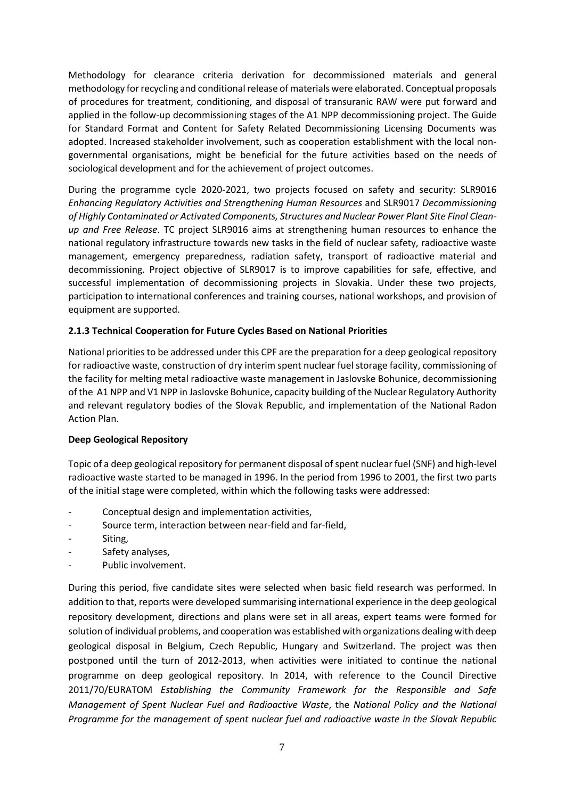Methodology for clearance criteria derivation for decommissioned materials and general methodology for recycling and conditional release of materials were elaborated. Conceptual proposals of procedures for treatment, conditioning, and disposal of transuranic RAW were put forward and applied in the follow-up decommissioning stages of the A1 NPP decommissioning project. The Guide for Standard Format and Content for Safety Related Decommissioning Licensing Documents was adopted. Increased stakeholder involvement, such as cooperation establishment with the local nongovernmental organisations, might be beneficial for the future activities based on the needs of sociological development and for the achievement of project outcomes.

During the programme cycle 2020-2021, two projects focused on safety and security: SLR9016 *Enhancing Regulatory Activities and Strengthening Human Resources* and SLR9017 *Decommissioning of Highly Contaminated or Activated Components, Structures and Nuclear Power Plant Site Final Cleanup and Free Release*. TC project SLR9016 aims at strengthening human resources to enhance the national regulatory infrastructure towards new tasks in the field of nuclear safety, radioactive waste management, emergency preparedness, radiation safety, transport of radioactive material and decommissioning. Project objective of SLR9017 is to improve capabilities for safe, effective, and successful implementation of decommissioning projects in Slovakia. Under these two projects, participation to international conferences and training courses, national workshops, and provision of equipment are supported.

# **2.1.3 Technical Cooperation for Future Cycles Based on National Priorities**

National priorities to be addressed under this CPF are the preparation for a deep geological repository for radioactive waste, construction of dry interim spent nuclear fuel storage facility, commissioning of the facility for melting metal radioactive waste management in Jaslovske Bohunice, decommissioning of the A1 NPP and V1 NPP in Jaslovske Bohunice, capacity building of the Nuclear Regulatory Authority and relevant regulatory bodies of the Slovak Republic, and implementation of the National Radon Action Plan.

#### **Deep Geological Repository**

Topic of a deep geological repository for permanent disposal of spent nuclear fuel (SNF) and high-level radioactive waste started to be managed in 1996. In the period from 1996 to 2001, the first two parts of the initial stage were completed, within which the following tasks were addressed:

- Conceptual design and implementation activities,
- Source term, interaction between near-field and far-field,
- Siting,
- Safety analyses,
- Public involvement.

During this period, five candidate sites were selected when basic field research was performed. In addition to that, reports were developed summarising international experience in the deep geological repository development, directions and plans were set in all areas, expert teams were formed for solution of individual problems, and cooperation was established with organizations dealing with deep geological disposal in Belgium, Czech Republic, Hungary and Switzerland. The project was then postponed until the turn of 2012-2013, when activities were initiated to continue the national programme on deep geological repository. In 2014, with reference to the Council Directive 2011/70/EURATOM *Establishing the Community Framework for the Responsible and Safe Management of Spent Nuclear Fuel and Radioactive Waste*, the *National Policy and the National Programme for the management of spent nuclear fuel and radioactive waste in the Slovak Republic*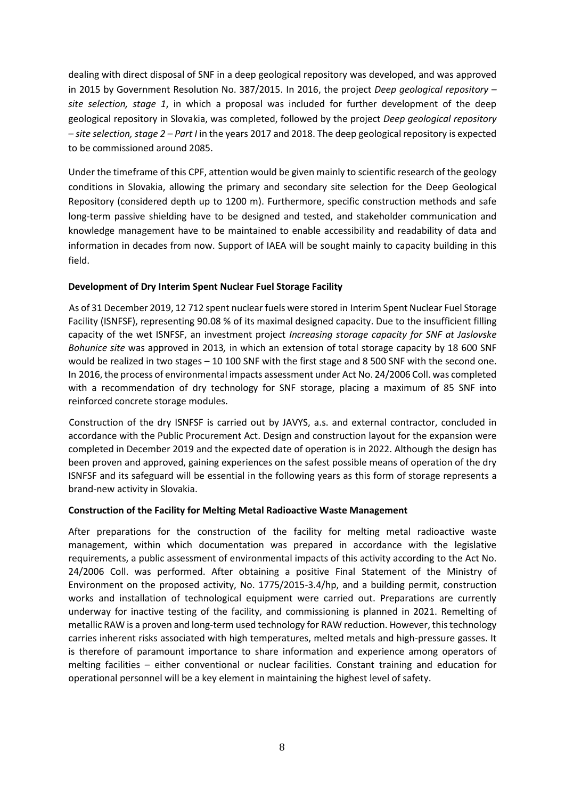dealing with direct disposal of SNF in a deep geological repository was developed, and was approved in 2015 by Government Resolution No. 387/2015. In 2016, the project *Deep geological repository – site selection, stage 1*, in which a proposal was included for further development of the deep geological repository in Slovakia, was completed, followed by the project *Deep geological repository – site selection, stage 2 – Part I* in the years 2017 and 2018. The deep geological repository is expected to be commissioned around 2085.

Under the timeframe of this CPF, attention would be given mainly to scientific research of the geology conditions in Slovakia, allowing the primary and secondary site selection for the Deep Geological Repository (considered depth up to 1200 m). Furthermore, specific construction methods and safe long-term passive shielding have to be designed and tested, and stakeholder communication and knowledge management have to be maintained to enable accessibility and readability of data and information in decades from now. Support of IAEA will be sought mainly to capacity building in this field.

# **Development of Dry Interim Spent Nuclear Fuel Storage Facility**

As of 31 December 2019, 12 712 spent nuclear fuels were stored in Interim Spent Nuclear Fuel Storage Facility (ISNFSF), representing 90.08 % of its maximal designed capacity. Due to the insufficient filling capacity of the wet ISNFSF, an investment project *Increasing storage capacity for SNF at Jaslovske Bohunice site* was approved in 2013*,* in which an extension of total storage capacity by 18 600 SNF would be realized in two stages – 10 100 SNF with the first stage and 8 500 SNF with the second one. In 2016, the process of environmental impacts assessment under Act No. 24/2006 Coll. was completed with a recommendation of dry technology for SNF storage, placing a maximum of 85 SNF into reinforced concrete storage modules.

Construction of the dry ISNFSF is carried out by JAVYS, a.s. and external contractor, concluded in accordance with the Public Procurement Act. Design and construction layout for the expansion were completed in December 2019 and the expected date of operation is in 2022. Although the design has been proven and approved, gaining experiences on the safest possible means of operation of the dry ISNFSF and its safeguard will be essential in the following years as this form of storage represents a brand-new activity in Slovakia.

#### **Construction of the Facility for Melting Metal Radioactive Waste Management**

After preparations for the construction of the facility for melting metal radioactive waste management, within which documentation was prepared in accordance with the legislative requirements, a public assessment of environmental impacts of this activity according to the Act No. 24/2006 Coll. was performed. After obtaining a positive Final Statement of the Ministry of Environment on the proposed activity, No. 1775/2015-3.4/hp, and a building permit, construction works and installation of technological equipment were carried out. Preparations are currently underway for inactive testing of the facility, and commissioning is planned in 2021. Remelting of metallic RAW is a proven and long-term used technology for RAW reduction. However, this technology carries inherent risks associated with high temperatures, melted metals and high-pressure gasses. It is therefore of paramount importance to share information and experience among operators of melting facilities – either conventional or nuclear facilities. Constant training and education for operational personnel will be a key element in maintaining the highest level of safety.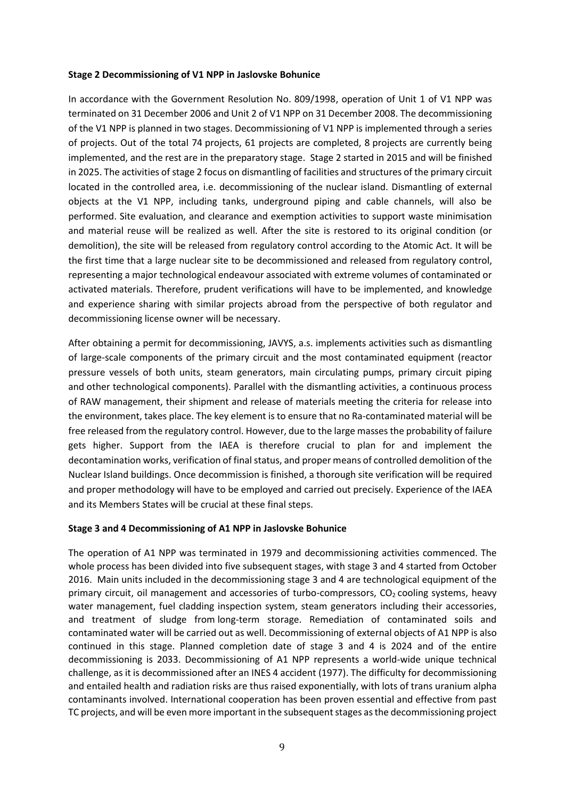#### **Stage 2 Decommissioning of V1 NPP in Jaslovske Bohunice**

In accordance with the Government Resolution No. 809/1998, operation of Unit 1 of V1 NPP was terminated on 31 December 2006 and Unit 2 of V1 NPP on 31 December 2008. The decommissioning of the V1 NPP is planned in two stages. Decommissioning of V1 NPP is implemented through a series of projects. Out of the total 74 projects, 61 projects are completed, 8 projects are currently being implemented, and the rest are in the preparatory stage. Stage 2 started in 2015 and will be finished in 2025. The activities of stage 2 focus on dismantling of facilities and structures of the primary circuit located in the controlled area, i.e. decommissioning of the nuclear island. Dismantling of external objects at the V1 NPP, including tanks, underground piping and cable channels, will also be performed. Site evaluation, and clearance and exemption activities to support waste minimisation and material reuse will be realized as well. After the site is restored to its original condition (or demolition), the site will be released from regulatory control according to the Atomic Act. It will be the first time that a large nuclear site to be decommissioned and released from regulatory control, representing a major technological endeavour associated with extreme volumes of contaminated or activated materials. Therefore, prudent verifications will have to be implemented, and knowledge and experience sharing with similar projects abroad from the perspective of both regulator and decommissioning license owner will be necessary.

After obtaining a permit for decommissioning, JAVYS, a.s. implements activities such as dismantling of large-scale components of the primary circuit and the most contaminated equipment (reactor pressure vessels of both units, steam generators, main circulating pumps, primary circuit piping and other technological components). Parallel with the dismantling activities, a continuous process of RAW management, their shipment and release of materials meeting the criteria for release into the environment, takes place. The key element is to ensure that no Ra-contaminated material will be free released from the regulatory control. However, due to the large masses the probability of failure gets higher. Support from the IAEA is therefore crucial to plan for and implement the decontamination works, verification of final status, and proper means of controlled demolition of the Nuclear Island buildings. Once decommission is finished, a thorough site verification will be required and proper methodology will have to be employed and carried out precisely. Experience of the IAEA and its Members States will be crucial at these final steps.

#### **Stage 3 and 4 Decommissioning of A1 NPP in Jaslovske Bohunice**

The operation of A1 NPP was terminated in 1979 and decommissioning activities commenced. The whole process has been divided into five subsequent stages, with stage 3 and 4 started from October 2016. Main units included in the decommissioning stage 3 and 4 are technological equipment of the primary circuit, oil management and accessories of turbo-compressors,  $CO<sub>2</sub>$  cooling systems, heavy water management, fuel cladding inspection system, steam generators including their accessories, and treatment of sludge from long-term storage. Remediation of contaminated soils and contaminated water will be carried out as well. Decommissioning of external objects of A1 NPP is also continued in this stage. Planned completion date of stage 3 and 4 is 2024 and of the entire decommissioning is 2033. Decommissioning of A1 NPP represents a world-wide unique technical challenge, as it is decommissioned after an INES 4 accident (1977). The difficulty for decommissioning and entailed health and radiation risks are thus raised exponentially, with lots of trans uranium alpha contaminants involved. International cooperation has been proven essential and effective from past TC projects, and will be even more important in the subsequent stages as the decommissioning project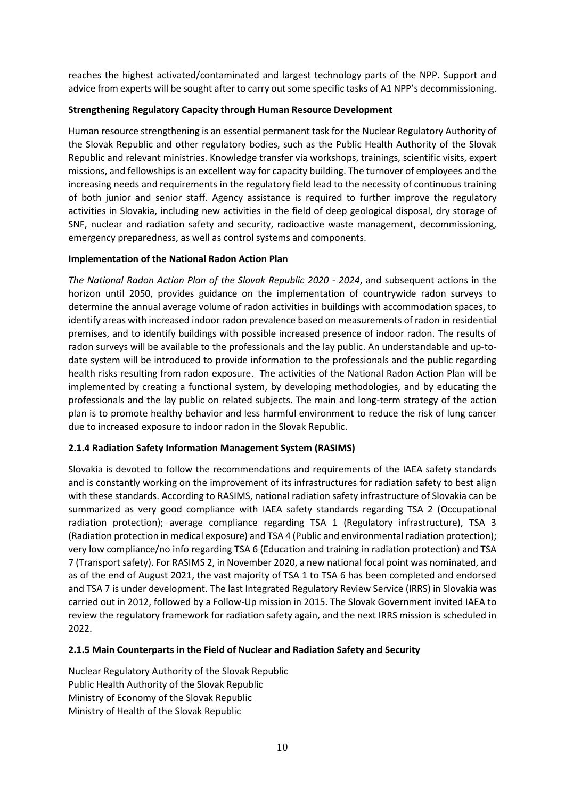reaches the highest activated/contaminated and largest technology parts of the NPP. Support and advice from experts will be sought after to carry out some specific tasks of A1 NPP's decommissioning.

## **Strengthening Regulatory Capacity through Human Resource Development**

Human resource strengthening is an essential permanent task for the Nuclear Regulatory Authority of the Slovak Republic and other regulatory bodies, such as the Public Health Authority of the Slovak Republic and relevant ministries. Knowledge transfer via workshops, trainings, scientific visits, expert missions, and fellowships is an excellent way for capacity building. The turnover of employees and the increasing needs and requirements in the regulatory field lead to the necessity of continuous training of both junior and senior staff. Agency assistance is required to further improve the regulatory activities in Slovakia, including new activities in the field of deep geological disposal, dry storage of SNF, nuclear and radiation safety and security, radioactive waste management, decommissioning, emergency preparedness, as well as control systems and components.

#### **Implementation of the National Radon Action Plan**

*The National Radon Action Plan of the Slovak Republic 2020 - 2024*, and subsequent actions in the horizon until 2050, provides guidance on the implementation of countrywide radon surveys to determine the annual average volume of radon activities in buildings with accommodation spaces, to identify areas with increased indoor radon prevalence based on measurements of radon in residential premises, and to identify buildings with possible increased presence of indoor radon. The results of radon surveys will be available to the professionals and the lay public. An understandable and up-todate system will be introduced to provide information to the professionals and the public regarding health risks resulting from radon exposure. The activities of the National Radon Action Plan will be implemented by creating a functional system, by developing methodologies, and by educating the professionals and the lay public on related subjects. The main and long-term strategy of the action plan is to promote healthy behavior and less harmful environment to reduce the risk of lung cancer due to increased exposure to indoor radon in the Slovak Republic.

# **2.1.4 Radiation Safety Information Management System (RASIMS)**

Slovakia is devoted to follow the recommendations and requirements of the IAEA safety standards and is constantly working on the improvement of its infrastructures for radiation safety to best align with these standards. According to RASIMS, national radiation safety infrastructure of Slovakia can be summarized as very good compliance with IAEA safety standards regarding TSA 2 (Occupational radiation protection); average compliance regarding TSA 1 (Regulatory infrastructure), TSA 3 (Radiation protection in medical exposure) and TSA 4 (Public and environmental radiation protection); very low compliance/no info regarding TSA 6 (Education and training in radiation protection) and TSA 7 (Transport safety). For RASIMS 2, in November 2020, a new national focal point was nominated, and as of the end of August 2021, the vast majority of TSA 1 to TSA 6 has been completed and endorsed and TSA 7 is under development. The last Integrated Regulatory Review Service (IRRS) in Slovakia was carried out in 2012, followed by a Follow-Up mission in 2015. The Slovak Government invited IAEA to review the regulatory framework for radiation safety again, and the next IRRS mission is scheduled in 2022.

#### **2.1.5 Main Counterparts in the Field of Nuclear and Radiation Safety and Security**

Nuclear Regulatory Authority of the Slovak Republic Public Health Authority of the Slovak Republic Ministry of Economy of the Slovak Republic Ministry of Health of the Slovak Republic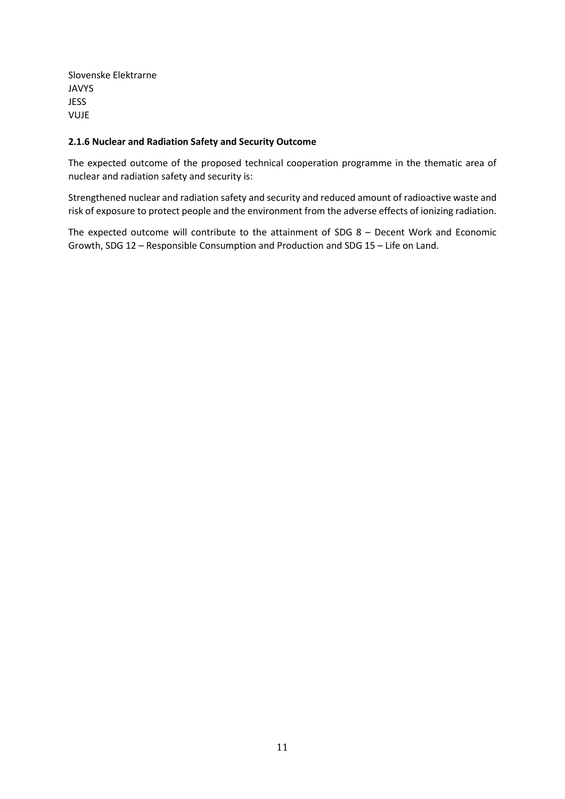Slovenske Elektrarne JAVYS **JESS** VUJE

### **2.1.6 Nuclear and Radiation Safety and Security Outcome**

The expected outcome of the proposed technical cooperation programme in the thematic area of nuclear and radiation safety and security is:

Strengthened nuclear and radiation safety and security and reduced amount of radioactive waste and risk of exposure to protect people and the environment from the adverse effects of ionizing radiation.

The expected outcome will contribute to the attainment of SDG 8 – Decent Work and Economic Growth, SDG 12 – Responsible Consumption and Production and SDG 15 – Life on Land.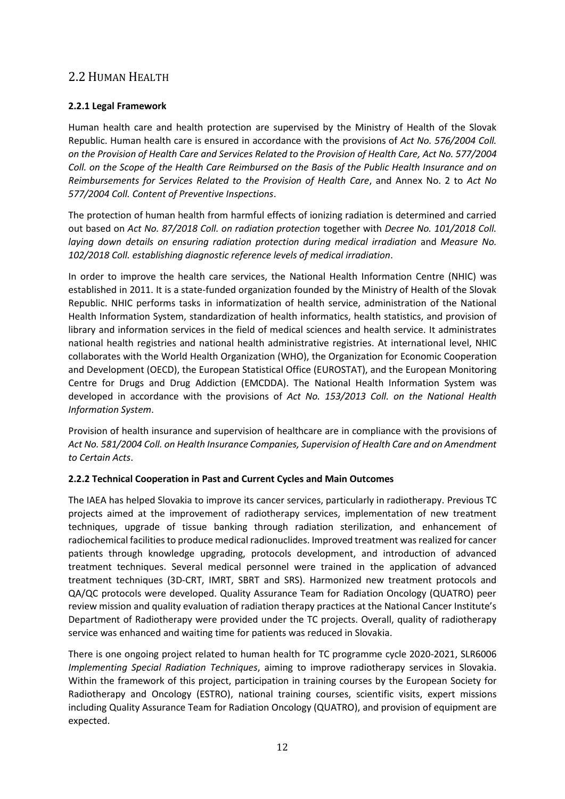# <span id="page-14-0"></span>2.2 HUMAN HEALTH

# **2.2.1 Legal Framework**

Human health care and health protection are supervised by the Ministry of Health of the Slovak Republic. Human health care is ensured in accordance with the provisions of *Act No. 576/2004 Coll. on the Provision of Health Care and Services Related to the Provision of Health Care, Act No. 577/2004 Coll. on the Scope of the Health Care Reimbursed on the Basis of the Public Health Insurance and on Reimbursements for Services Related to the Provision of Health Care*, and Annex No. 2 to *Act No 577/2004 Coll. Content of Preventive Inspections*.

The protection of human health from harmful effects of ionizing radiation is determined and carried out based on *Act No. 87/2018 Coll. on radiation protection* together with *Decree No. 101/2018 Coll. laying down details on ensuring radiation protection during medical irradiation* and *Measure No. 102/2018 Coll. establishing diagnostic reference levels of medical irradiation*.

In order to improve the health care services, the National Health Information Centre (NHIC) was established in 2011. It is a state-funded organization founded by the Ministry of Health of the Slovak Republic. NHIC performs tasks in informatization of health service, administration of the National Health Information System, standardization of health informatics, health statistics, and provision of library and information services in the field of medical sciences and health service. It administrates national health registries and national health administrative registries. At international level, NHIC collaborates with the World Health Organization (WHO), the Organization for Economic Cooperation and Development (OECD), the European Statistical Office (EUROSTAT), and the European Monitoring Centre for Drugs and Drug Addiction (EMCDDA). The National Health Information System was developed in accordance with the provisions of *Act No. 153/2013 Coll. on the National Health Information System*.

Provision of health insurance and supervision of healthcare are in compliance with the provisions of *Act No. 581/2004 Coll. on Health Insurance Companies, Supervision of Health Care and on Amendment to Certain Acts*.

# **2.2.2 Technical Cooperation in Past and Current Cycles and Main Outcomes**

The IAEA has helped Slovakia to improve its cancer services, particularly in radiotherapy. Previous TC projects aimed at the improvement of radiotherapy services, implementation of new treatment techniques, upgrade of tissue banking through radiation sterilization, and enhancement of radiochemical facilities to produce medical radionuclides. Improved treatment was realized for cancer patients through knowledge upgrading, protocols development, and introduction of advanced treatment techniques. Several medical personnel were trained in the application of advanced treatment techniques (3D-CRT, IMRT, SBRT and SRS). Harmonized new treatment protocols and QA/QC protocols were developed. Quality Assurance Team for Radiation Oncology (QUATRO) peer review mission and quality evaluation of radiation therapy practices at the National Cancer Institute's Department of Radiotherapy were provided under the TC projects. Overall, quality of radiotherapy service was enhanced and waiting time for patients was reduced in Slovakia.

There is one ongoing project related to human health for TC programme cycle 2020-2021, SLR6006 *Implementing Special Radiation Techniques*, aiming to improve radiotherapy services in Slovakia. Within the framework of this project, participation in training courses by the European Society for Radiotherapy and Oncology (ESTRO), national training courses, scientific visits, expert missions including Quality Assurance Team for Radiation Oncology (QUATRO), and provision of equipment are expected.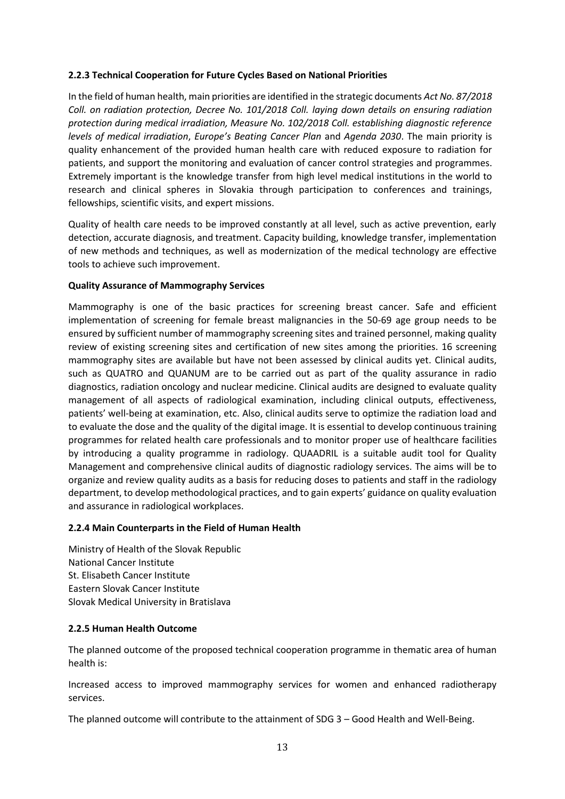### **2.2.3 Technical Cooperation for Future Cycles Based on National Priorities**

In the field of human health, main priorities are identified in the strategic documents *Act No. 87/2018 Coll. on radiation protection, Decree No. 101/2018 Coll. laying down details on ensuring radiation protection during medical irradiation, Measure No. 102/2018 Coll. establishing diagnostic reference levels of medical irradiation*, *Europe's Beating Cancer Plan* and *Agenda 2030*. The main priority is quality enhancement of the provided human health care with reduced exposure to radiation for patients, and support the monitoring and evaluation of cancer control strategies and programmes. Extremely important is the knowledge transfer from high level medical institutions in the world to research and clinical spheres in Slovakia through participation to conferences and trainings, fellowships, scientific visits, and expert missions.

Quality of health care needs to be improved constantly at all level, such as active prevention, early detection, accurate diagnosis, and treatment. Capacity building, knowledge transfer, implementation of new methods and techniques, as well as modernization of the medical technology are effective tools to achieve such improvement.

### **Quality Assurance of Mammography Services**

Mammography is one of the basic practices for screening breast cancer. Safe and efficient implementation of screening for female breast malignancies in the 50-69 age group needs to be ensured by sufficient number of mammography screening sites and trained personnel, making quality review of existing screening sites and certification of new sites among the priorities. 16 screening mammography sites are available but have not been assessed by clinical audits yet. Clinical audits, such as QUATRO and QUANUM are to be carried out as part of the quality assurance in radio diagnostics, radiation oncology and nuclear medicine. Clinical audits are designed to evaluate quality management of all aspects of radiological examination, including clinical outputs, effectiveness, patients' well-being at examination, etc. Also, clinical audits serve to optimize the radiation load and to evaluate the dose and the quality of the digital image. It is essential to develop continuous training programmes for related health care professionals and to monitor proper use of healthcare facilities by introducing a quality programme in radiology. QUAADRIL is a suitable audit tool for Quality Management and comprehensive clinical audits of diagnostic radiology services. The aims will be to organize and review quality audits as a basis for reducing doses to patients and staff in the radiology department, to develop methodological practices, and to gain experts' guidance on quality evaluation and assurance in radiological workplaces.

#### **2.2.4 Main Counterparts in the Field of Human Health**

Ministry of Health of the Slovak Republic National Cancer Institute St. Elisabeth Cancer Institute Eastern Slovak Cancer Institute Slovak Medical University in Bratislava

#### **2.2.5 Human Health Outcome**

The planned outcome of the proposed technical cooperation programme in thematic area of human health is:

Increased access to improved mammography services for women and enhanced radiotherapy services.

The planned outcome will contribute to the attainment of SDG 3 – Good Health and Well-Being.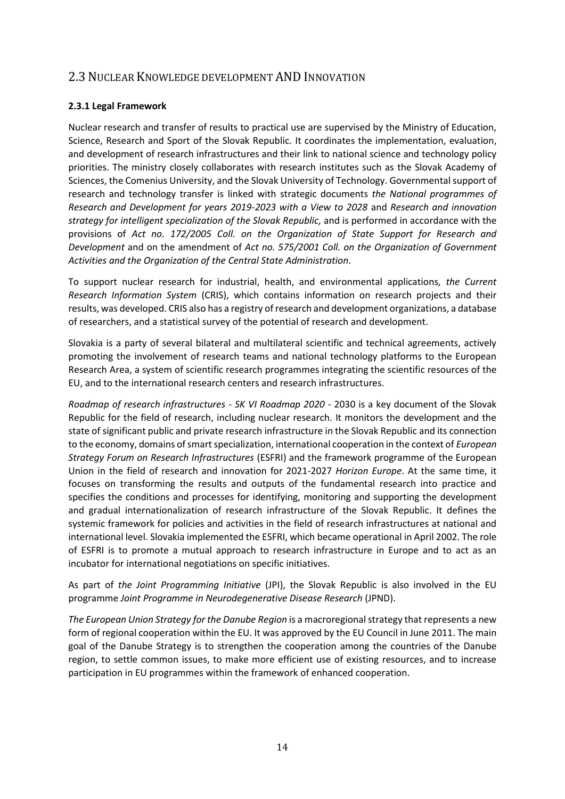# <span id="page-16-0"></span>2.3 NUCLEAR KNOWLEDGE DEVELOPMENT AND INNOVATION

# **2.3.1 Legal Framework**

Nuclear research and transfer of results to practical use are supervised by the Ministry of Education, Science, Research and Sport of the Slovak Republic. It coordinates the implementation, evaluation, and development of research infrastructures and their link to national science and technology policy priorities. The ministry closely collaborates with research institutes such as the Slovak Academy of Sciences, the Comenius University, and the Slovak University of Technology. Governmental support of research and technology transfer is linked with strategic documents *the National programmes of Research and Development for years 2019-2023 with a View to 2028* and *Research and innovation strategy for intelligent specialization of the Slovak Republic,* and is performed in accordance with the provisions of *Act no. 172/2005 Coll. on the Organization of State Support for Research and Development* and on the amendment of *Act no. 575/2001 Coll. on the Organization of Government Activities and the Organization of the Central State Administration*.

To support nuclear research for industrial, health, and environmental applications*, the Current Research Information System* (CRIS), which contains information on research projects and their results, was developed. CRIS also has a registry of research and development organizations, a database of researchers, and a statistical survey of the potential of research and development.

Slovakia is a party of several bilateral and multilateral scientific and technical agreements, actively promoting the involvement of research teams and national technology platforms to the European Research Area, a system of scientific research programmes integrating the scientific resources of the EU, and to the international research centers and research infrastructures.

*Roadmap of research infrastructures - SK VI Roadmap 2020 -* 2030 is a key document of the Slovak Republic for the field of research, including nuclear research. It monitors the development and the state of significant public and private research infrastructure in the Slovak Republic and its connection to the economy, domains of smart specialization, international cooperation in the context of *European Strategy Forum on Research Infrastructures* (ESFRI) and the framework programme of the European Union in the field of research and innovation for 2021-2027 *Horizon Europe*. At the same time, it focuses on transforming the results and outputs of the fundamental research into practice and specifies the conditions and processes for identifying, monitoring and supporting the development and gradual internationalization of research infrastructure of the Slovak Republic. It defines the systemic framework for policies and activities in the field of research infrastructures at national and international level. Slovakia implemented the ESFRI, which became operational in April 2002. The role of ESFRI is to promote a mutual approach to research infrastructure in Europe and to act as an incubator for international negotiations on specific initiatives.

As part of *the Joint Programming Initiative* (JPI), the Slovak Republic is also involved in the EU programme *Joint Programme in Neurodegenerative Disease Research* (JPND).

*The European Union Strategy for the Danube Region* is a macroregional strategy that represents a new form of regional cooperation within the EU. It was approved by the EU Council in June 2011. The main goal of the Danube Strategy is to strengthen the cooperation among the countries of the Danube region, to settle common issues, to make more efficient use of existing resources, and to increase participation in EU programmes within the framework of enhanced cooperation.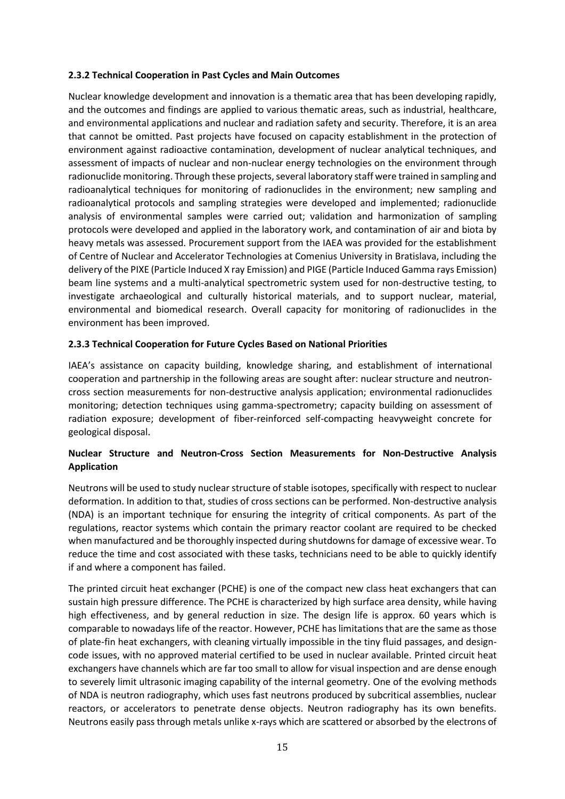## **2.3.2 Technical Cooperation in Past Cycles and Main Outcomes**

Nuclear knowledge development and innovation is a thematic area that has been developing rapidly, and the outcomes and findings are applied to various thematic areas, such as industrial, healthcare, and environmental applications and nuclear and radiation safety and security. Therefore, it is an area that cannot be omitted. Past projects have focused on capacity establishment in the protection of environment against radioactive contamination, development of nuclear analytical techniques, and assessment of impacts of nuclear and non-nuclear energy technologies on the environment through radionuclide monitoring. Through these projects, several laboratory staff were trained in sampling and radioanalytical techniques for monitoring of radionuclides in the environment; new sampling and radioanalytical protocols and sampling strategies were developed and implemented; radionuclide analysis of environmental samples were carried out; validation and harmonization of sampling protocols were developed and applied in the laboratory work, and contamination of air and biota by heavy metals was assessed. Procurement support from the IAEA was provided for the establishment of Centre of Nuclear and Accelerator Technologies at Comenius University in Bratislava, including the delivery of the PIXE (Particle Induced X ray Emission) and PIGE (Particle Induced Gamma rays Emission) beam line systems and a multi-analytical spectrometric system used for non-destructive testing, to investigate archaeological and culturally historical materials, and to support nuclear, material, environmental and biomedical research. Overall capacity for monitoring of radionuclides in the environment has been improved.

# **2.3.3 Technical Cooperation for Future Cycles Based on National Priorities**

IAEA's assistance on capacity building, knowledge sharing, and establishment of international cooperation and partnership in the following areas are sought after: nuclear structure and neutroncross section measurements for non-destructive analysis application; environmental radionuclides monitoring; detection techniques using gamma-spectrometry; capacity building on assessment of radiation exposure; development of fiber-reinforced self-compacting heavyweight concrete for geological disposal.

# **Nuclear Structure and Neutron-Cross Section Measurements for Non-Destructive Analysis Application**

Neutrons will be used to study nuclear structure of stable isotopes, specifically with respect to nuclear deformation. In addition to that, studies of cross sections can be performed. Non-destructive analysis (NDA) is an important technique for ensuring the integrity of critical components. As part of the regulations, reactor systems which contain the primary reactor coolant are required to be checked when manufactured and be thoroughly inspected during shutdowns for damage of excessive wear. To reduce the time and cost associated with these tasks, technicians need to be able to quickly identify if and where a component has failed.

The printed circuit heat exchanger (PCHE) is one of the compact new class heat exchangers that can sustain high pressure difference. The PCHE is characterized by high surface area density, while having high effectiveness, and by general reduction in size. The design life is approx. 60 years which is comparable to nowadays life of the reactor. However, PCHE has limitations that are the same as those of plate-fin heat exchangers, with cleaning virtually impossible in the tiny fluid passages, and designcode issues, with no approved material certified to be used in nuclear available. Printed circuit heat exchangers have channels which are far too small to allow for visual inspection and are dense enough to severely limit ultrasonic imaging capability of the internal geometry. One of the evolving methods of NDA is neutron radiography, which uses fast neutrons produced by subcritical assemblies, nuclear reactors, or accelerators to penetrate dense objects. Neutron radiography has its own benefits. Neutrons easily pass through metals unlike x-rays which are scattered or absorbed by the electrons of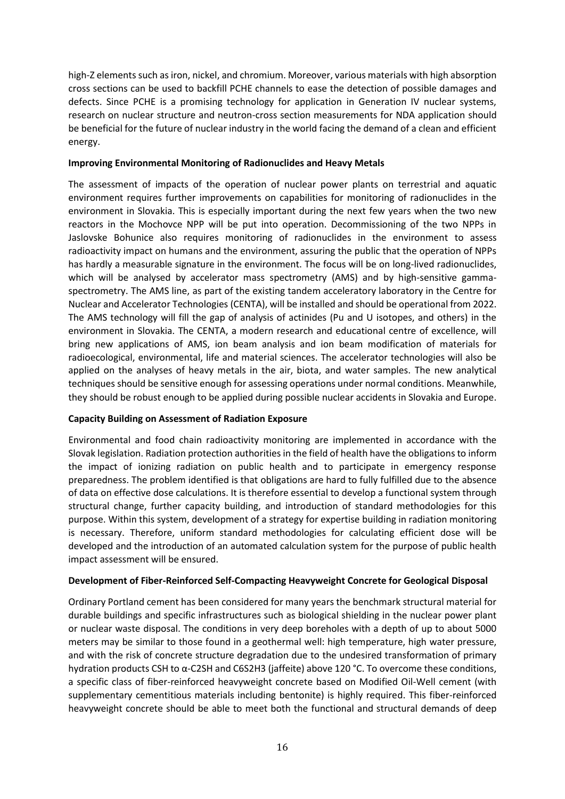high-Z elements such as iron, nickel, and chromium. Moreover, various materials with high absorption cross sections can be used to backfill PCHE channels to ease the detection of possible damages and defects. Since PCHE is a promising technology for application in Generation IV nuclear systems, research on nuclear structure and neutron-cross section measurements for NDA application should be beneficial for the future of nuclear industry in the world facing the demand of a clean and efficient energy.

#### **Improving Environmental Monitoring of Radionuclides and Heavy Metals**

The assessment of impacts of the operation of nuclear power plants on terrestrial and aquatic environment requires further improvements on capabilities for monitoring of radionuclides in the environment in Slovakia. This is especially important during the next few years when the two new reactors in the Mochovce NPP will be put into operation. Decommissioning of the two NPPs in Jaslovske Bohunice also requires monitoring of radionuclides in the environment to assess radioactivity impact on humans and the environment, assuring the public that the operation of NPPs has hardly a measurable signature in the environment. The focus will be on long-lived radionuclides, which will be analysed by accelerator mass spectrometry (AMS) and by high-sensitive gammaspectrometry. The AMS line, as part of the existing tandem acceleratory laboratory in the Centre for Nuclear and Accelerator Technologies (CENTA), will be installed and should be operational from 2022. The AMS technology will fill the gap of analysis of actinides (Pu and U isotopes, and others) in the environment in Slovakia. The CENTA, a modern research and educational centre of excellence, will bring new applications of AMS, ion beam analysis and ion beam modification of materials for radioecological, environmental, life and material sciences. The accelerator technologies will also be applied on the analyses of heavy metals in the air, biota, and water samples. The new analytical techniques should be sensitive enough for assessing operations under normal conditions. Meanwhile, they should be robust enough to be applied during possible nuclear accidents in Slovakia and Europe.

# **Capacity Building on Assessment of Radiation Exposure**

Environmental and food chain radioactivity monitoring are implemented in accordance with the Slovak legislation. Radiation protection authorities in the field of health have the obligations to inform the impact of ionizing radiation on public health and to participate in emergency response preparedness. The problem identified is that obligations are hard to fully fulfilled due to the absence of data on effective dose calculations. It is therefore essential to develop a functional system through structural change, further capacity building, and introduction of standard methodologies for this purpose. Within this system, development of a strategy for expertise building in radiation monitoring is necessary. Therefore, uniform standard methodologies for calculating efficient dose will be developed and the introduction of an automated calculation system for the purpose of public health impact assessment will be ensured.

# **Development of Fiber-Reinforced Self-Compacting Heavyweight Concrete for Geological Disposal**

Ordinary Portland cement has been considered for many years the benchmark structural material for durable buildings and specific infrastructures such as biological shielding in the nuclear power plant or nuclear waste disposal. The conditions in very deep boreholes with a depth of up to about 5000 meters may be similar to those found in a geothermal well: high temperature, high water pressure, and with the risk of concrete structure degradation due to the undesired transformation of primary hydration products CSH to α-C2SH and C6S2H3 (jaffeite) above 120 °C. To overcome these conditions, a specific class of fiber-reinforced heavyweight concrete based on Modified Oil-Well cement (with supplementary cementitious materials including bentonite) is highly required. This fiber-reinforced heavyweight concrete should be able to meet both the functional and structural demands of deep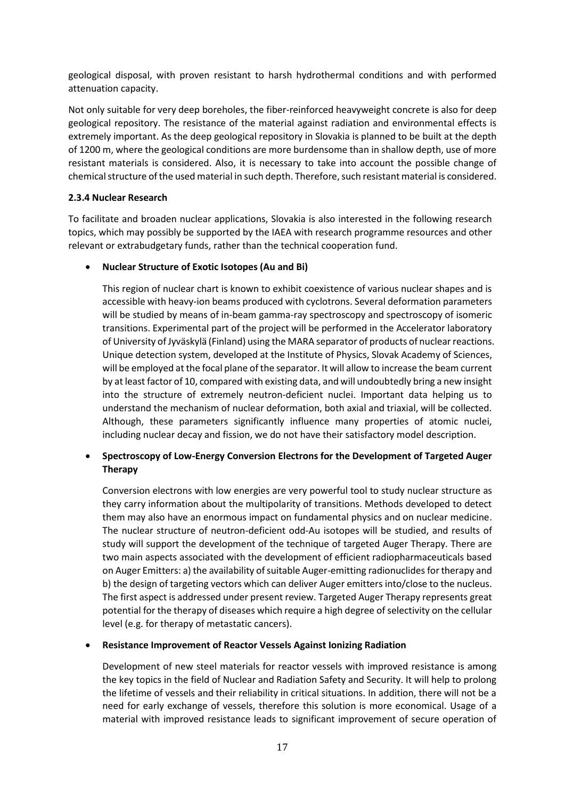geological disposal, with proven resistant to harsh hydrothermal conditions and with performed attenuation capacity.

Not only suitable for very deep boreholes, the fiber-reinforced heavyweight concrete is also for deep geological repository. The resistance of the material against radiation and environmental effects is extremely important. As the deep geological repository in Slovakia is planned to be built at the depth of 1200 m, where the geological conditions are more burdensome than in shallow depth, use of more resistant materials is considered. Also, it is necessary to take into account the possible change of chemical structure of the used material in such depth. Therefore, such resistant material is considered.

# **2.3.4 Nuclear Research**

To facilitate and broaden nuclear applications, Slovakia is also interested in the following research topics, which may possibly be supported by the IAEA with research programme resources and other relevant or extrabudgetary funds, rather than the technical cooperation fund.

### • **Nuclear Structure of Exotic Isotopes (Au and Bi)**

This region of nuclear chart is known to exhibit coexistence of various nuclear shapes and is accessible with heavy-ion beams produced with cyclotrons. Several deformation parameters will be studied by means of in-beam gamma-ray spectroscopy and spectroscopy of isomeric transitions. Experimental part of the project will be performed in the Accelerator laboratory of University of Jyväskylä (Finland) using the MARA separator of products of nuclear reactions. Unique detection system, developed at the Institute of Physics, Slovak Academy of Sciences, will be employed at the focal plane of the separator. It will allow to increase the beam current by at least factor of 10, compared with existing data, and will undoubtedly bring a new insight into the structure of extremely neutron-deficient nuclei. Important data helping us to understand the mechanism of nuclear deformation, both axial and triaxial, will be collected. Although, these parameters significantly influence many properties of atomic nuclei, including nuclear decay and fission, we do not have their satisfactory model description.

# • **Spectroscopy of Low-Energy Conversion Electrons for the Development of Targeted Auger Therapy**

Conversion electrons with low energies are very powerful tool to study nuclear structure as they carry information about the multipolarity of transitions. Methods developed to detect them may also have an enormous impact on fundamental physics and on nuclear medicine. The nuclear structure of neutron-deficient odd-Au isotopes will be studied, and results of study will support the development of the technique of targeted Auger Therapy. There are two main aspects associated with the development of efficient radiopharmaceuticals based on Auger Emitters: a) the availability of suitable Auger-emitting radionuclides for therapy and b) the design of targeting vectors which can deliver Auger emitters into/close to the nucleus. The first aspect is addressed under present review. Targeted Auger Therapy represents great potential for the therapy of diseases which require a high degree of selectivity on the cellular level (e.g. for therapy of metastatic cancers).

#### • **Resistance Improvement of Reactor Vessels Against Ionizing Radiation**

Development of new steel materials for reactor vessels with improved resistance is among the key topics in the field of Nuclear and Radiation Safety and Security. It will help to prolong the lifetime of vessels and their reliability in critical situations. In addition, there will not be a need for early exchange of vessels, therefore this solution is more economical. Usage of a material with improved resistance leads to significant improvement of secure operation of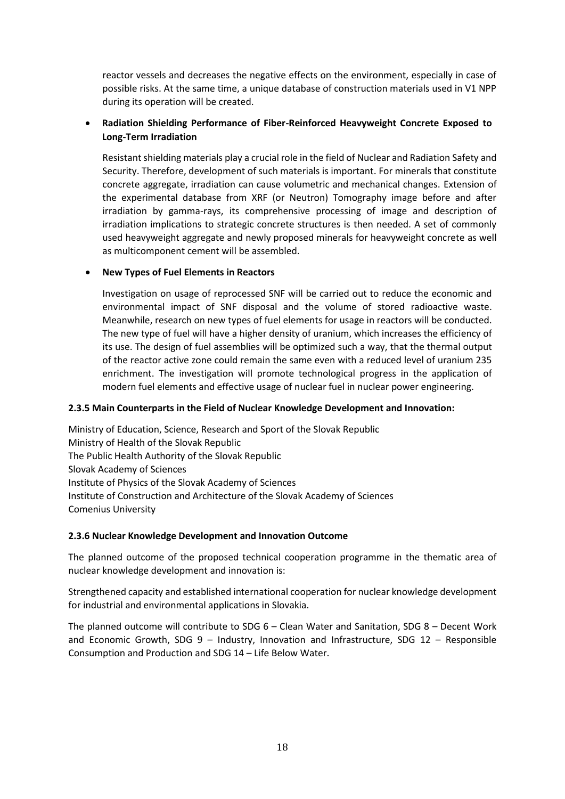reactor vessels and decreases the negative effects on the environment, especially in case of possible risks. At the same time, a unique database of construction materials used in V1 NPP during its operation will be created.

# • **Radiation Shielding Performance of Fiber-Reinforced Heavyweight Concrete Exposed to Long-Term Irradiation**

Resistant shielding materials play a crucial role in the field of Nuclear and Radiation Safety and Security. Therefore, development of such materials is important. For minerals that constitute concrete aggregate, irradiation can cause volumetric and mechanical changes. Extension of the experimental database from XRF (or Neutron) Tomography image before and after irradiation by gamma-rays, its comprehensive processing of image and description of irradiation implications to strategic concrete structures is then needed. A set of commonly used heavyweight aggregate and newly proposed minerals for heavyweight concrete as well as multicomponent cement will be assembled.

### • **New Types of Fuel Elements in Reactors**

Investigation on usage of reprocessed SNF will be carried out to reduce the economic and environmental impact of SNF disposal and the volume of stored radioactive waste. Meanwhile, research on new types of fuel elements for usage in reactors will be conducted. The new type of fuel will have a higher density of uranium, which increases the efficiency of its use. The design of fuel assemblies will be optimized such a way, that the thermal output of the reactor active zone could remain the same even with a reduced level of uranium 235 enrichment. The investigation will promote technological progress in the application of modern fuel elements and effective usage of nuclear fuel in nuclear power engineering.

#### **2.3.5 Main Counterparts in the Field of Nuclear Knowledge Development and Innovation:**

Ministry of Education, Science, Research and Sport of the Slovak Republic Ministry of Health of the Slovak Republic The Public Health Authority of the Slovak Republic Slovak Academy of Sciences Institute of Physics of the Slovak Academy of Sciences Institute of Construction and Architecture of the Slovak Academy of Sciences Comenius University

#### **2.3.6 Nuclear Knowledge Development and Innovation Outcome**

The planned outcome of the proposed technical cooperation programme in the thematic area of nuclear knowledge development and innovation is:

Strengthened capacity and established international cooperation for nuclear knowledge development for industrial and environmental applications in Slovakia.

The planned outcome will contribute to SDG 6 – Clean Water and Sanitation, SDG 8 – Decent Work and Economic Growth, SDG 9 – Industry, Innovation and Infrastructure, SDG 12 – Responsible Consumption and Production and SDG 14 – Life Below Water.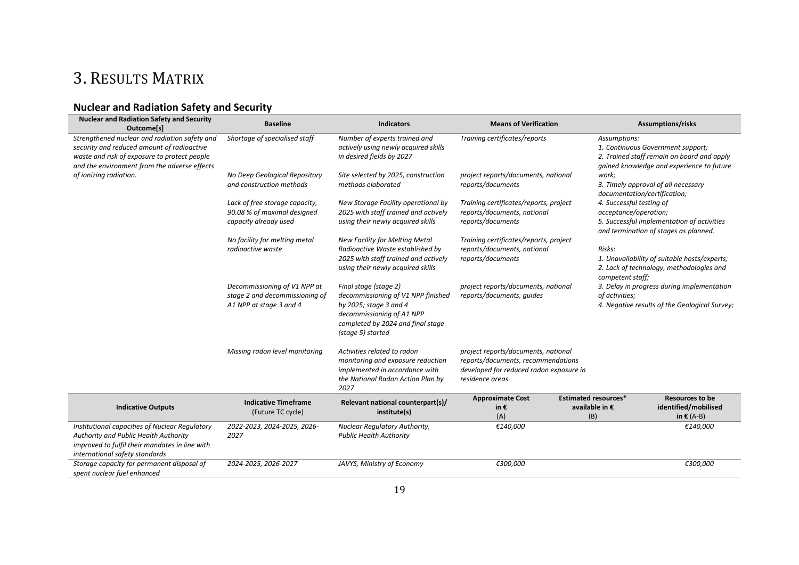# 3. RESULTS MATRIX

# **Nuclear and Radiation Safety and Security**

<span id="page-21-0"></span>

| <b>Nuclear and Radiation Safety and Security</b><br>Outcome[s]                                                                                                                              | <b>Baseline</b>                                                                           | <b>Indicators</b>                                                                                                                                                            | <b>Means of Verification</b>                                                                                                            |                                                      | <b>Assumptions/risks</b>                                                                                                     |
|---------------------------------------------------------------------------------------------------------------------------------------------------------------------------------------------|-------------------------------------------------------------------------------------------|------------------------------------------------------------------------------------------------------------------------------------------------------------------------------|-----------------------------------------------------------------------------------------------------------------------------------------|------------------------------------------------------|------------------------------------------------------------------------------------------------------------------------------|
| Strengthened nuclear and radiation safety and<br>security and reduced amount of radioactive<br>waste and risk of exposure to protect people<br>and the environment from the adverse effects | Shortage of specialised staff                                                             | Number of experts trained and<br>actively using newly acquired skills<br>in desired fields by 2027                                                                           | Training certificates/reports                                                                                                           | Assumptions:                                         | 1. Continuous Government support;<br>2. Trained staff remain on board and apply<br>gained knowledge and experience to future |
| of ionizing radiation.                                                                                                                                                                      | No Deep Geological Repository<br>and construction methods                                 | Site selected by 2025, construction<br>methods elaborated                                                                                                                    | project reports/documents, national<br>reports/documents                                                                                | work;<br>documentation/certification;                | 3. Timely approval of all necessary                                                                                          |
|                                                                                                                                                                                             | Lack of free storage capacity,<br>90.08 % of maximal designed<br>capacity already used    | New Storage Facility operational by<br>2025 with staff trained and actively<br>using their newly acquired skills                                                             | Training certificates/reports, project<br>reports/documents, national<br>reports/documents                                              | 4. Successful testing of<br>acceptance/operation;    | 5. Successful implementation of activities<br>and termination of stages as planned.                                          |
|                                                                                                                                                                                             | No facility for melting metal<br>radioactive waste                                        | <b>New Facility for Melting Metal</b><br>Radioactive Waste established by<br>2025 with staff trained and actively<br>using their newly acquired skills                       | Training certificates/reports, project<br>reports/documents, national<br>reports/documents                                              | Risks:<br>competent staff;                           | 1. Unavailability of suitable hosts/experts;<br>2. Lack of technology, methodologies and                                     |
|                                                                                                                                                                                             | Decommissioning of V1 NPP at<br>stage 2 and decommissioning of<br>A1 NPP at stage 3 and 4 | Final stage (stage 2)<br>decommissioning of V1 NPP finished<br>by 2025; stage 3 and 4<br>decommissioning of A1 NPP<br>completed by 2024 and final stage<br>(stage 5) started | project reports/documents, national<br>reports/documents, quides                                                                        | of activities;                                       | 3. Delay in progress during implementation<br>4. Negative results of the Geological Survey;                                  |
|                                                                                                                                                                                             | Missing radon level monitoring                                                            | Activities related to radon<br>monitoring and exposure reduction<br>implemented in accordance with<br>the National Radon Action Plan by<br>2027                              | project reports/documents, national<br>reports/documents, recommendations<br>developed for reduced radon exposure in<br>residence areas |                                                      |                                                                                                                              |
| <b>Indicative Outputs</b>                                                                                                                                                                   | <b>Indicative Timeframe</b><br>(Future TC cycle)                                          | Relevant national counterpart(s)/<br>institute(s)                                                                                                                            | <b>Approximate Cost</b><br>in€<br>(A)                                                                                                   | <b>Estimated resources*</b><br>available in €<br>(B) | <b>Resources to be</b><br>identified/mobilised<br>in $E(A-B)$                                                                |
| Institutional capacities of Nuclear Regulatory<br>Authority and Public Health Authority<br>improved to fulfil their mandates in line with<br>international safety standards                 | 2022-2023, 2024-2025, 2026-<br>2027                                                       | Nuclear Regulatory Authority,<br><b>Public Health Authority</b>                                                                                                              | €140,000                                                                                                                                |                                                      | €140,000                                                                                                                     |
| Storage capacity for permanent disposal of<br>spent nuclear fuel enhanced                                                                                                                   | 2024-2025, 2026-2027                                                                      | JAVYS, Ministry of Economy                                                                                                                                                   | €300,000                                                                                                                                |                                                      | €300,000                                                                                                                     |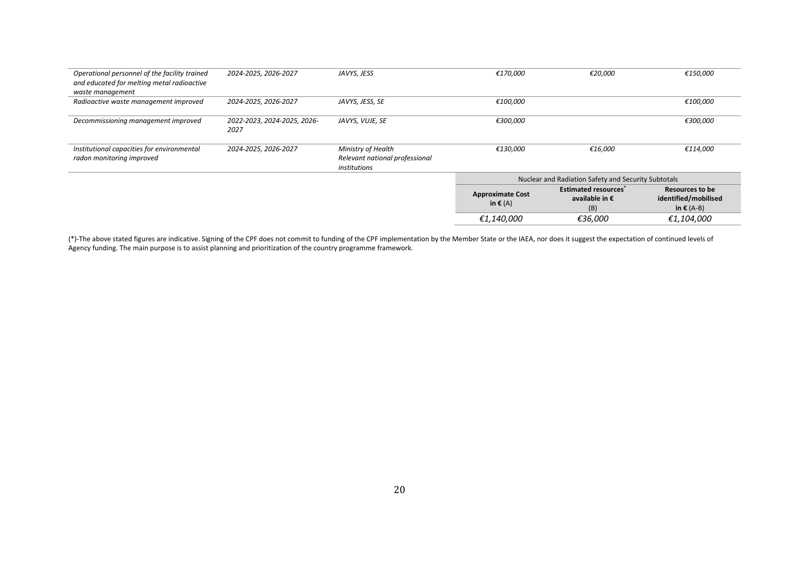| Operational personnel of the facility trained<br>and educated for melting metal radioactive<br>waste management | 2024-2025, 2026-2027                | JAVYS, JESS                                                          | €170,000                                            | €20,000                                              | €150,000                                                       |
|-----------------------------------------------------------------------------------------------------------------|-------------------------------------|----------------------------------------------------------------------|-----------------------------------------------------|------------------------------------------------------|----------------------------------------------------------------|
| Radioactive waste management improved                                                                           | 2024-2025, 2026-2027                | JAVYS, JESS, SE                                                      | €100,000                                            |                                                      | €100,000                                                       |
| Decommissioning management improved                                                                             | 2022-2023, 2024-2025, 2026-<br>2027 | JAVYS, VUJE, SE                                                      | €300,000                                            |                                                      | €300,000                                                       |
| Institutional capacities for environmental<br>radon monitoring improved                                         | 2024-2025, 2026-2027                | Ministry of Health<br>Relevant national professional<br>institutions | €130,000                                            | €16,000                                              | €114,000                                                       |
|                                                                                                                 |                                     |                                                                      | Nuclear and Radiation Safety and Security Subtotals |                                                      |                                                                |
|                                                                                                                 |                                     |                                                                      | <b>Approximate Cost</b><br>in $\epsilon$ (A)        | <b>Estimated resources*</b><br>available in €<br>(B) | Resources to be<br>identified/mobilised<br>in $\epsilon$ (A-B) |
|                                                                                                                 |                                     |                                                                      | €1,140,000                                          | €36,000                                              | €1,104,000                                                     |

(\*)-The above stated figures are indicative. Signing of the CPF does not commit to funding of the CPF implementation by the Member State or the IAEA, nor does it suggest the expectation of continued levels of Agency funding. The main purpose is to assist planning and prioritization of the country programme framework.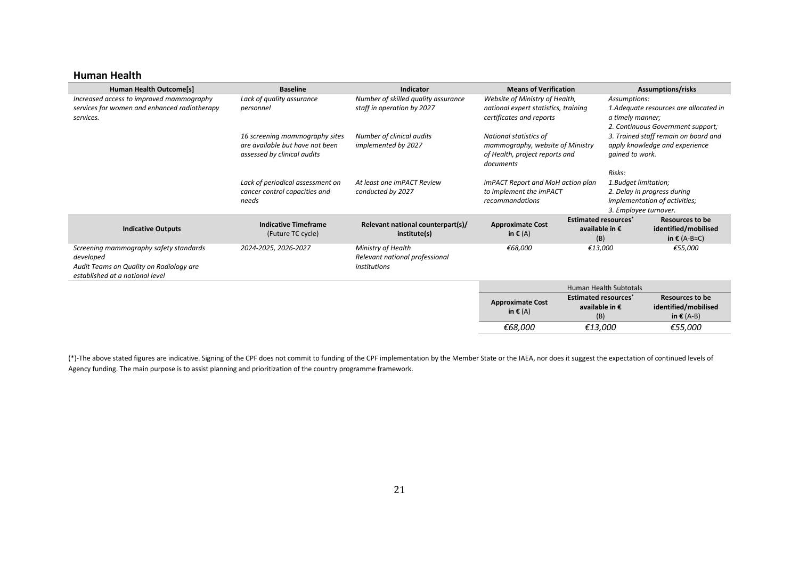#### **Human Health**

| <b>Human Health Outcome[s]</b>                                                                                                    | <b>Baseline</b>                                                                                  | Indicator                                                            | <b>Means of Verification</b>                                                                              |                                                      |                                                          | <b>Assumptions/risks</b>                                                    |
|-----------------------------------------------------------------------------------------------------------------------------------|--------------------------------------------------------------------------------------------------|----------------------------------------------------------------------|-----------------------------------------------------------------------------------------------------------|------------------------------------------------------|----------------------------------------------------------|-----------------------------------------------------------------------------|
| Increased access to improved mammography<br>services for women and enhanced radiotherapy<br>services.                             | Lack of quality assurance<br>personnel                                                           | Number of skilled quality assurance<br>staff in operation by 2027    | Website of Ministry of Health,<br>national expert statistics, training<br>certificates and reports        |                                                      | Assumptions:<br>a timely manner;                         | 1. Adequate resources are allocated in<br>2. Continuous Government support; |
|                                                                                                                                   | 16 screening mammography sites<br>are available but have not been<br>assessed by clinical audits | Number of clinical audits<br>implemented by 2027                     | National statistics of<br>mammography, website of Ministry<br>of Health, project reports and<br>documents |                                                      | gained to work.                                          | 3. Trained staff remain on board and<br>apply knowledge and experience      |
|                                                                                                                                   | Lack of periodical assessment on<br>cancer control capacities and<br>needs                       | At least one imPACT Review<br>conducted by 2027                      | imPACT Report and MoH action plan<br>to implement the imPACT<br>recommandations                           |                                                      | Risks:<br>1. Budget limitation;<br>3. Employee turnover. | 2. Delay in progress during<br>implementation of activities;                |
| <b>Indicative Outputs</b>                                                                                                         | <b>Indicative Timeframe</b><br>(Future TC cycle)                                                 | Relevant national counterpart(s)/<br>institute(s)                    | <b>Approximate Cost</b><br>in $\epsilon$ (A)                                                              | <b>Estimated resources*</b><br>available in €<br>(B) |                                                          | <b>Resources to be</b><br>identified/mobilised<br>in $\epsilon$ (A-B=C)     |
| Screening mammography safety standards<br>developed<br>Audit Teams on Quality on Radiology are<br>established at a national level | 2024-2025, 2026-2027                                                                             | Ministry of Health<br>Relevant national professional<br>institutions | €68,000                                                                                                   | €13,000                                              |                                                          | €55,000                                                                     |
|                                                                                                                                   |                                                                                                  |                                                                      | <b>Human Health Subtotals</b>                                                                             |                                                      |                                                          |                                                                             |
|                                                                                                                                   |                                                                                                  |                                                                      | <b>Approximate Cost</b><br>in $\epsilon$ (A)                                                              | <b>Estimated resources</b><br>available in €<br>(B)  |                                                          | <b>Resources to be</b><br>identified/mobilised<br>in $\epsilon$ (A-B)       |
|                                                                                                                                   |                                                                                                  |                                                                      | €68,000                                                                                                   | €13,000                                              |                                                          | €55,000                                                                     |

(\*)-The above stated figures are indicative. Signing of the CPF does not commit to funding of the CPF implementation by the Member State or the IAEA, nor does it suggest the expectation of continued levels of Agency funding. The main purpose is to assist planning and prioritization of the country programme framework.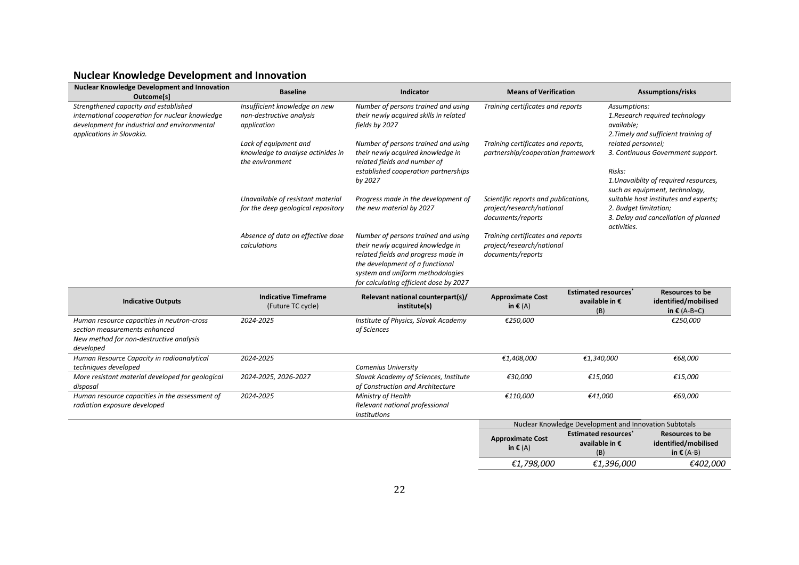# **Nuclear Knowledge Development and Innovation**

| <b>Nuclear Knowledge Development and Innovation</b><br>Outcome[s]                                                                                                     | <b>Baseline</b>                                                               | Indicator                                                                                                                                                                                                                        | <b>Means of Verification</b>                                                           |                                                                 | <b>Assumptions/risks</b>                                                                                                                 |
|-----------------------------------------------------------------------------------------------------------------------------------------------------------------------|-------------------------------------------------------------------------------|----------------------------------------------------------------------------------------------------------------------------------------------------------------------------------------------------------------------------------|----------------------------------------------------------------------------------------|-----------------------------------------------------------------|------------------------------------------------------------------------------------------------------------------------------------------|
| Strengthened capacity and established<br>international cooperation for nuclear knowledge<br>development for industrial and environmental<br>applications in Slovakia. | Insufficient knowledge on new<br>non-destructive analysis<br>application      | Number of persons trained and using<br>their newly acquired skills in related<br>fields by 2027                                                                                                                                  | Training certificates and reports                                                      | Assumptions:<br>available;                                      | 1. Research required technology<br>2. Timely and sufficient training of                                                                  |
|                                                                                                                                                                       | Lack of equipment and<br>knowledge to analyse actinides in<br>the environment | Number of persons trained and using<br>their newly acquired knowledge in<br>related fields and number of<br>established cooperation partnerships<br>by 2027                                                                      | Training certificates and reports,<br>partnership/cooperation framework                | related personnel;<br>Risks:                                    | 3. Continuous Government support.<br>1. Unavaiblity of required resources,                                                               |
|                                                                                                                                                                       | Unavailable of resistant material<br>for the deep geological repository       | Progress made in the development of<br>the new material by 2027                                                                                                                                                                  | Scientific reports and publications,<br>project/research/national<br>documents/reports | activities.                                                     | such as equipment, technology,<br>suitable host institutes and experts;<br>2. Budget limitation;<br>3. Delay and cancellation of planned |
|                                                                                                                                                                       | Absence of data on effective dose<br>calculations                             | Number of persons trained and using<br>their newly acquired knowledge in<br>related fields and progress made in<br>the development of a functional<br>system and uniform methodologies<br>for calculating efficient dose by 2027 | Training certificates and reports<br>project/research/national<br>documents/reports    |                                                                 |                                                                                                                                          |
| <b>Indicative Outputs</b>                                                                                                                                             | <b>Indicative Timeframe</b><br>(Future TC cycle)                              | Relevant national counterpart(s)/<br>institute(s)                                                                                                                                                                                | <b>Approximate Cost</b><br>in $\epsilon$ (A)                                           | <b>Estimated resources<sup>*</sup></b><br>available in €<br>(B) | <b>Resources to be</b><br>identified/mobilised<br>in $E(A-B=C)$                                                                          |
| Human resource capacities in neutron-cross<br>section measurements enhanced<br>New method for non-destructive analysis<br>developed                                   | 2024-2025                                                                     | Institute of Physics, Slovak Academy<br>of Sciences                                                                                                                                                                              | €250,000                                                                               |                                                                 | €250,000                                                                                                                                 |
| Human Resource Capacity in radioanalytical<br>techniques developed                                                                                                    | 2024-2025                                                                     | <b>Comenius University</b>                                                                                                                                                                                                       | €1,408,000                                                                             | €1,340,000                                                      | €68,000                                                                                                                                  |
| More resistant material developed for geological<br>disposal                                                                                                          | 2024-2025, 2026-2027                                                          | Slovak Academy of Sciences, Institute<br>of Construction and Architecture                                                                                                                                                        | €30,000                                                                                | €15,000                                                         | €15,000                                                                                                                                  |
| Human resource capacities in the assessment of<br>radiation exposure developed                                                                                        | 2024-2025                                                                     | Ministry of Health<br>Relevant national professional<br>institutions                                                                                                                                                             | €110,000                                                                               | €41,000                                                         | €69,000                                                                                                                                  |
|                                                                                                                                                                       |                                                                               |                                                                                                                                                                                                                                  | Nuclear Knowledge Development and Innovation Subtotals                                 |                                                                 |                                                                                                                                          |
|                                                                                                                                                                       |                                                                               |                                                                                                                                                                                                                                  | <b>Approximate Cost</b><br>in $\epsilon$ (A)                                           | <b>Estimated resources</b> *<br>available in €<br>(B)           | <b>Resources to be</b><br>identified/mobilised<br>in $\epsilon$ (A-B)                                                                    |
|                                                                                                                                                                       |                                                                               |                                                                                                                                                                                                                                  | €1,798,000                                                                             | €1.396.000                                                      | €402,000                                                                                                                                 |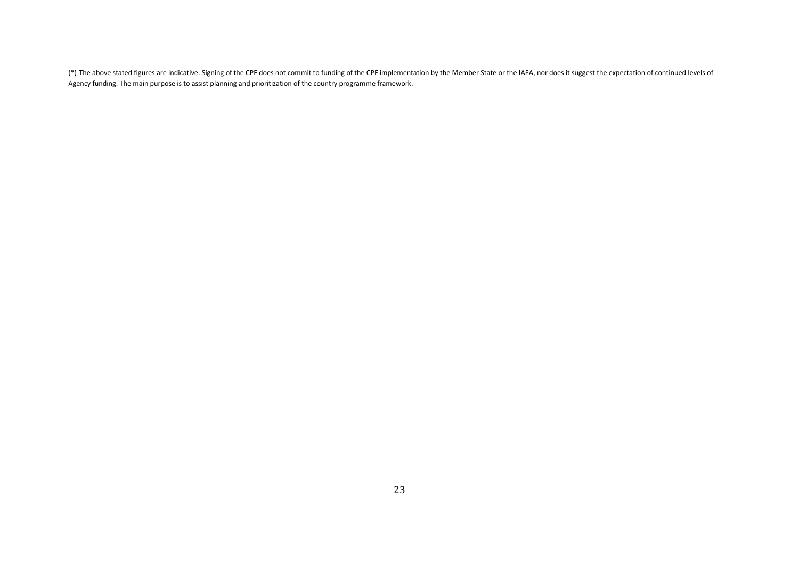(\*)-The above stated figures are indicative. Signing of the CPF does not commit to funding of the CPF implementation by the Member State or the IAEA, nor does it suggest the expectation of continued levels of Agency funding. The main purpose is to assist planning and prioritization of the country programme framework.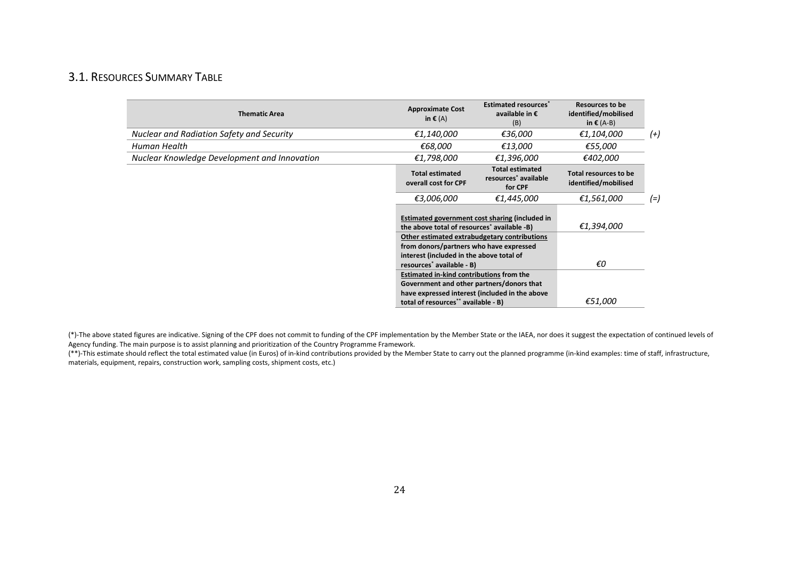# 3.1. RESOURCES SUMMARY TABLE

| <b>Thematic Area</b>                         | <b>Approximate Cost</b><br>in $\epsilon$ (A)            | <b>Estimated resources</b> *<br>available in €<br>(B)                 | <b>Resources to be</b><br>identified/mobilised<br>in $\epsilon$ (A-B) |          |
|----------------------------------------------|---------------------------------------------------------|-----------------------------------------------------------------------|-----------------------------------------------------------------------|----------|
| Nuclear and Radiation Safety and Security    | €1,140,000                                              | €36,000                                                               | €1,104,000                                                            | $^{(+)}$ |
| Human Health                                 | €68,000                                                 | €13,000                                                               | €55,000                                                               |          |
| Nuclear Knowledge Development and Innovation | €1,798,000                                              | €1,396,000                                                            | €402,000                                                              |          |
|                                              | <b>Total estimated</b><br>overall cost for CPF          | <b>Total estimated</b><br>resources <sup>*</sup> available<br>for CPF | Total resources to be<br>identified/mobilised                         |          |
|                                              | €3,006,000                                              | €1,445,000                                                            | €1,561,000                                                            | (=)      |
|                                              | the above total of resources <sup>*</sup> available -B) | Estimated government cost sharing (included in                        | €1,394,000                                                            |          |
|                                              | from donors/partners who have expressed                 | Other estimated extrabudgetary contributions                          |                                                                       |          |
|                                              | interest (included in the above total of                |                                                                       |                                                                       |          |
|                                              | resources <sup>*</sup> available - B)                   |                                                                       | €O                                                                    |          |
|                                              | <b>Estimated in-kind contributions from the</b>         |                                                                       |                                                                       |          |
|                                              | Government and other partners/donors that               | have expressed interest (included in the above                        |                                                                       |          |
|                                              | total of resources** available - B)                     |                                                                       | €51,000                                                               |          |

<span id="page-26-0"></span>(\*)-The above stated figures are indicative. Signing of the CPF does not commit to funding of the CPF implementation by the Member State or the IAEA, nor does it suggest the expectation of continued levels of Agency funding. The main purpose is to assist planning and prioritization of the Country Programme Framework.

(\*\*)-This estimate should reflect the total estimated value (in Euros) of in-kind contributions provided by the Member State to carry out the planned programme (in-kind examples: time of staff, infrastructure, materials, equipment, repairs, construction work, sampling costs, shipment costs, etc.)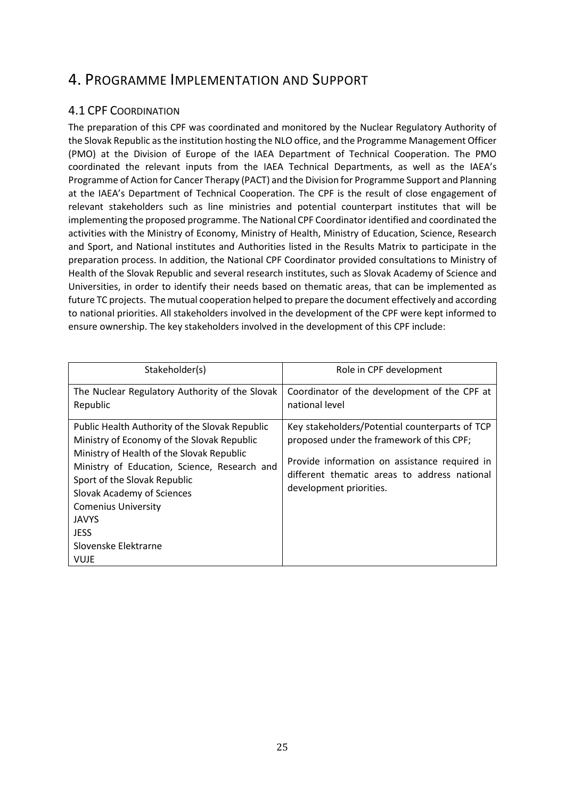# <span id="page-27-0"></span>4. PROGRAMME IMPLEMENTATION AND SUPPORT

# <span id="page-27-1"></span>4.1 CPF COORDINATION

The preparation of this CPF was coordinated and monitored by the Nuclear Regulatory Authority of the Slovak Republic as the institution hosting the NLO office, and the Programme Management Officer (PMO) at the Division of Europe of the IAEA Department of Technical Cooperation. The PMO coordinated the relevant inputs from the IAEA Technical Departments, as well as the IAEA's Programme of Action for Cancer Therapy (PACT) and the Division for Programme Support and Planning at the IAEA's Department of Technical Cooperation. The CPF is the result of close engagement of relevant stakeholders such as line ministries and potential counterpart institutes that will be implementing the proposed programme. The National CPF Coordinator identified and coordinated the activities with the Ministry of Economy, Ministry of Health, Ministry of Education, Science, Research and Sport, and National institutes and Authorities listed in the Results Matrix to participate in the preparation process. In addition, the National CPF Coordinator provided consultations to Ministry of Health of the Slovak Republic and several research institutes, such as Slovak Academy of Science and Universities, in order to identify their needs based on thematic areas, that can be implemented as future TC projects. The mutual cooperation helped to prepare the document effectively and according to national priorities. All stakeholders involved in the development of the CPF were kept informed to ensure ownership. The key stakeholders involved in the development of this CPF include:

| Stakeholder(s)                                                                                                                                                                                                                                                                                                                                | Role in CPF development                                                                                                                                                                                                 |
|-----------------------------------------------------------------------------------------------------------------------------------------------------------------------------------------------------------------------------------------------------------------------------------------------------------------------------------------------|-------------------------------------------------------------------------------------------------------------------------------------------------------------------------------------------------------------------------|
| The Nuclear Regulatory Authority of the Slovak<br>Republic                                                                                                                                                                                                                                                                                    | Coordinator of the development of the CPF at<br>national level                                                                                                                                                          |
| Public Health Authority of the Slovak Republic<br>Ministry of Economy of the Slovak Republic<br>Ministry of Health of the Slovak Republic<br>Ministry of Education, Science, Research and<br>Sport of the Slovak Republic<br>Slovak Academy of Sciences<br><b>Comenius University</b><br>JAVYS<br><b>JESS</b><br>Slovenske Elektrarne<br>VUJE | Key stakeholders/Potential counterparts of TCP<br>proposed under the framework of this CPF;<br>Provide information on assistance required in<br>different thematic areas to address national<br>development priorities. |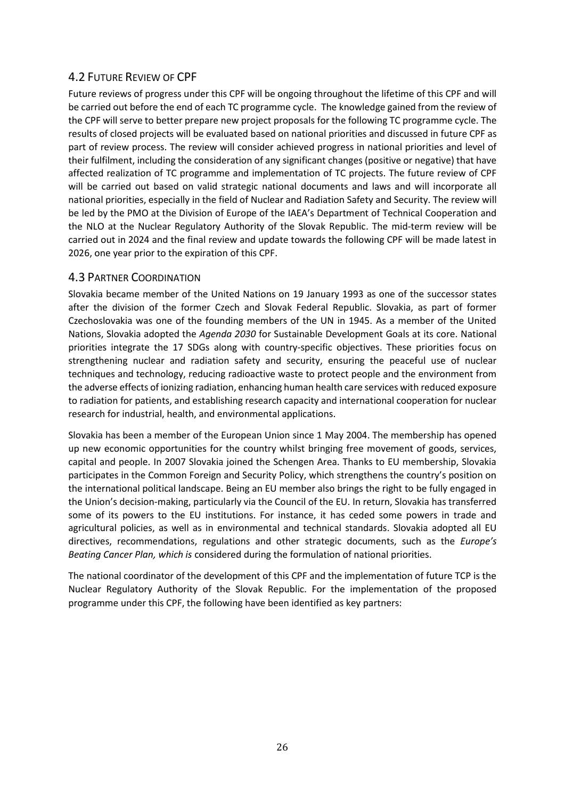# <span id="page-28-0"></span>4.2 FUTURE REVIEW OF CPF

Future reviews of progress under this CPF will be ongoing throughout the lifetime of this CPF and will be carried out before the end of each TC programme cycle. The knowledge gained from the review of the CPF will serve to better prepare new project proposals for the following TC programme cycle. The results of closed projects will be evaluated based on national priorities and discussed in future CPF as part of review process. The review will consider achieved progress in national priorities and level of their fulfilment, including the consideration of any significant changes (positive or negative) that have affected realization of TC programme and implementation of TC projects. The future review of CPF will be carried out based on valid strategic national documents and laws and will incorporate all national priorities, especially in the field of Nuclear and Radiation Safety and Security. The review will be led by the PMO at the Division of Europe of the IAEA's Department of Technical Cooperation and the NLO at the Nuclear Regulatory Authority of the Slovak Republic. The mid-term review will be carried out in 2024 and the final review and update towards the following CPF will be made latest in 2026, one year prior to the expiration of this CPF.

# <span id="page-28-1"></span>4.3 PARTNER COORDINATION

Slovakia became member of the United Nations on 19 January 1993 as one of the successor states after the division of the former Czech and Slovak Federal Republic. Slovakia, as part of former Czechoslovakia was one of the founding members of the UN in 1945. As a member of the United Nations, Slovakia adopted the *Agenda 2030* for Sustainable Development Goals at its core. National priorities integrate the 17 SDGs along with country-specific objectives. These priorities focus on strengthening nuclear and radiation safety and security, ensuring the peaceful use of nuclear techniques and technology, reducing radioactive waste to protect people and the environment from the adverse effects of ionizing radiation, enhancing human health care services with reduced exposure to radiation for patients, and establishing research capacity and international cooperation for nuclear research for industrial, health, and environmental applications.

Slovakia has been a member of the European Union since 1 May 2004. The membership has opened up new economic opportunities for the country whilst bringing free movement of goods, services, capital and people. In 2007 Slovakia joined the Schengen Area. Thanks to EU membership, Slovakia participates in the Common Foreign and Security Policy, which strengthens the country's position on the international political landscape. Being an EU member also brings the right to be fully engaged in the Union's decision-making, particularly via the Council of the EU. In return, Slovakia has transferred some of its powers to the EU institutions. For instance, it has ceded some powers in trade and agricultural policies, as well as in environmental and technical standards. Slovakia adopted all EU directives, recommendations, regulations and other strategic documents, such as the *Europe's Beating Cancer Plan, which is* considered during the formulation of national priorities.

The national coordinator of the development of this CPF and the implementation of future TCP is the Nuclear Regulatory Authority of the Slovak Republic. For the implementation of the proposed programme under this CPF, the following have been identified as key partners: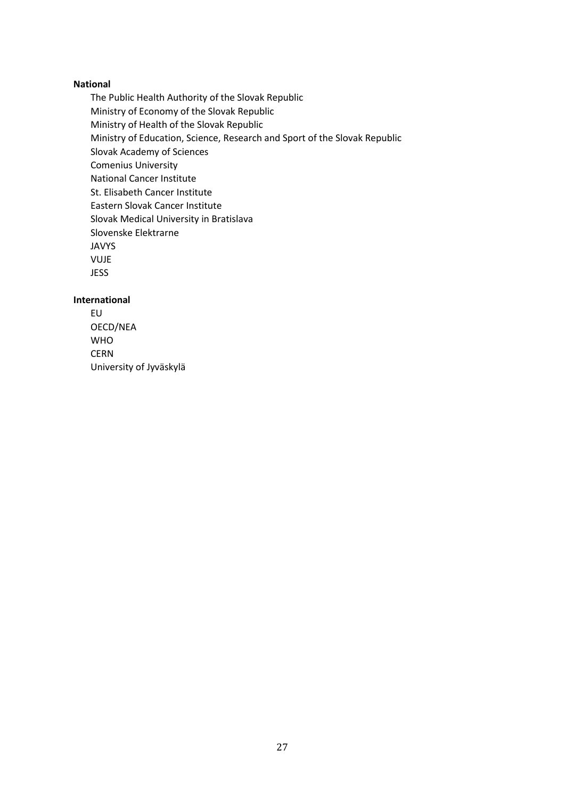#### **National**

The Public Health Authority of the Slovak Republic Ministry of Economy of the Slovak Republic Ministry of Health of the Slovak Republic Ministry of Education, Science, Research and Sport of the Slovak Republic Slovak Academy of Sciences Comenius University National Cancer Institute St. Elisabeth Cancer Institute Eastern Slovak Cancer Institute Slovak Medical University in Bratislava Slovenske Elektrarne JAVYS VUJE JESS

#### **International**

EU OECD/NEA WHO **CERN** University of Jyväskylä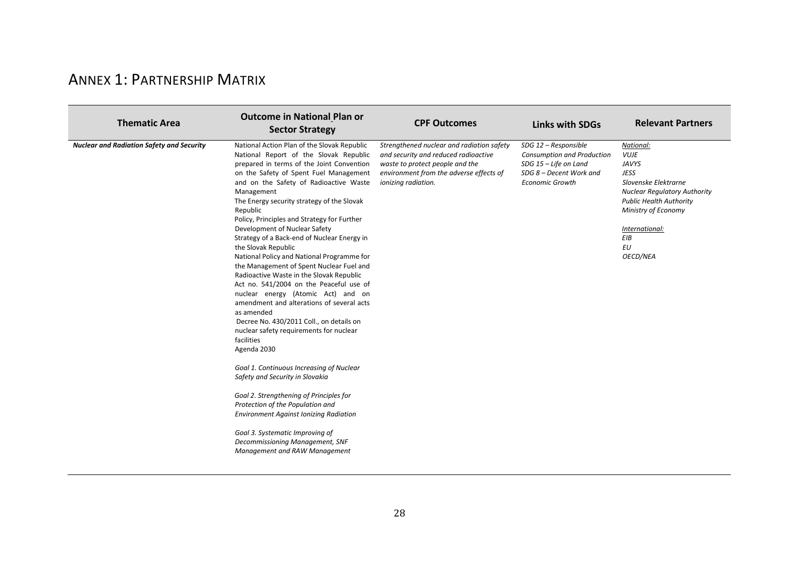# ANNEX 1: PARTNERSHIP MATRIX

<span id="page-30-0"></span>

| <b>Thematic Area</b>                             | <b>Outcome in National Plan or</b><br><b>Sector Strategy</b>                                                                                                                                                                                                                                                                                                                                                                                                                                                                                                                                                                                                                                                                                                                                                                                                                                                                                                                                                                                                                                                                                                                     | <b>CPF Outcomes</b>                                                                                                                                                                    | <b>Links with SDGs</b>                                                                                                           | <b>Relevant Partners</b>                                                                                                                                                                                                   |
|--------------------------------------------------|----------------------------------------------------------------------------------------------------------------------------------------------------------------------------------------------------------------------------------------------------------------------------------------------------------------------------------------------------------------------------------------------------------------------------------------------------------------------------------------------------------------------------------------------------------------------------------------------------------------------------------------------------------------------------------------------------------------------------------------------------------------------------------------------------------------------------------------------------------------------------------------------------------------------------------------------------------------------------------------------------------------------------------------------------------------------------------------------------------------------------------------------------------------------------------|----------------------------------------------------------------------------------------------------------------------------------------------------------------------------------------|----------------------------------------------------------------------------------------------------------------------------------|----------------------------------------------------------------------------------------------------------------------------------------------------------------------------------------------------------------------------|
| <b>Nuclear and Radiation Safety and Security</b> | National Action Plan of the Slovak Republic<br>National Report of the Slovak Republic<br>prepared in terms of the Joint Convention<br>on the Safety of Spent Fuel Management<br>and on the Safety of Radioactive Waste<br>Management<br>The Energy security strategy of the Slovak<br>Republic<br>Policy, Principles and Strategy for Further<br>Development of Nuclear Safety<br>Strategy of a Back-end of Nuclear Energy in<br>the Slovak Republic<br>National Policy and National Programme for<br>the Management of Spent Nuclear Fuel and<br>Radioactive Waste in the Slovak Republic<br>Act no. 541/2004 on the Peaceful use of<br>nuclear energy (Atomic Act) and on<br>amendment and alterations of several acts<br>as amended<br>Decree No. 430/2011 Coll., on details on<br>nuclear safety requirements for nuclear<br>facilities<br>Agenda 2030<br>Goal 1. Continuous Increasing of Nuclear<br>Safety and Security in Slovakia<br>Goal 2. Strengthening of Principles for<br>Protection of the Population and<br><b>Environment Against Ionizing Radiation</b><br>Goal 3. Systematic Improving of<br>Decommissioning Management, SNF<br>Management and RAW Management | Strengthened nuclear and radiation safety<br>and security and reduced radioactive<br>waste to protect people and the<br>environment from the adverse effects of<br>ionizing radiation. | SDG 12 - Responsible<br>Consumption and Production<br>SDG 15 - Life on Land<br>SDG 8 - Decent Work and<br><b>Economic Growth</b> | National:<br><b>VUJE</b><br><b>JAVYS</b><br><b>JESS</b><br>Slovenske Elektrarne<br><b>Nuclear Regulatory Authority</b><br><b>Public Health Authority</b><br>Ministry of Economy<br>International:<br>EIB<br>EU<br>OECD/NEA |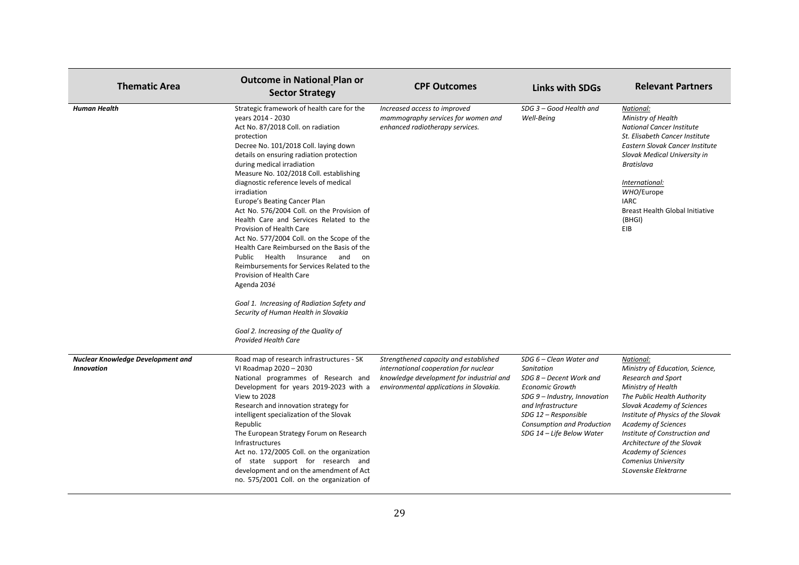| <b>Thematic Area</b>                                   | <b>Outcome in National Plan or</b><br><b>Sector Strategy</b>                                                                                                                                                                                                                                                                                                                                                                                                                                                                                                                                                                                                                                                                                                                                                                                                                           | <b>CPF Outcomes</b>                                                                                                                                                   | <b>Links with SDGs</b>                                                                                                                                                                                                              | <b>Relevant Partners</b>                                                                                                                                                                                                                                                                                                                                                            |
|--------------------------------------------------------|----------------------------------------------------------------------------------------------------------------------------------------------------------------------------------------------------------------------------------------------------------------------------------------------------------------------------------------------------------------------------------------------------------------------------------------------------------------------------------------------------------------------------------------------------------------------------------------------------------------------------------------------------------------------------------------------------------------------------------------------------------------------------------------------------------------------------------------------------------------------------------------|-----------------------------------------------------------------------------------------------------------------------------------------------------------------------|-------------------------------------------------------------------------------------------------------------------------------------------------------------------------------------------------------------------------------------|-------------------------------------------------------------------------------------------------------------------------------------------------------------------------------------------------------------------------------------------------------------------------------------------------------------------------------------------------------------------------------------|
| <b>Human Health</b>                                    | Strategic framework of health care for the<br>vears 2014 - 2030<br>Act No. 87/2018 Coll. on radiation<br>protection<br>Decree No. 101/2018 Coll. laying down<br>details on ensuring radiation protection<br>during medical irradiation<br>Measure No. 102/2018 Coll. establishing<br>diagnostic reference levels of medical<br>irradiation<br>Europe's Beating Cancer Plan<br>Act No. 576/2004 Coll. on the Provision of<br>Health Care and Services Related to the<br>Provision of Health Care<br>Act No. 577/2004 Coll. on the Scope of the<br>Health Care Reimbursed on the Basis of the<br>Public Health Insurance and<br>on<br>Reimbursements for Services Related to the<br>Provision of Health Care<br>Agenda 203é<br>Goal 1. Increasing of Radiation Safety and<br>Security of Human Health in Slovakia<br>Goal 2. Increasing of the Quality of<br><b>Provided Health Care</b> | Increased access to improved<br>mammography services for women and<br>enhanced radiotherapy services.                                                                 | SDG 3 - Good Health and<br>Well-Being                                                                                                                                                                                               | National:<br>Ministry of Health<br>National Cancer Institute<br>St. Elisabeth Cancer Institute<br>Eastern Slovak Cancer Institute<br>Slovak Medical University in<br><b>Bratislava</b><br>International:<br>WHO/Europe<br><b>IARC</b><br><b>Breast Health Global Initiative</b><br>(BHGI)<br>EIB                                                                                    |
| Nuclear Knowledge Development and<br><b>Innovation</b> | Road map of research infrastructures - SK<br>VI Roadmap 2020 - 2030<br>National programmes of Research and<br>Development for years 2019-2023 with a<br>View to 2028<br>Research and innovation strategy for<br>intelligent specialization of the Slovak<br>Republic<br>The European Strategy Forum on Research<br><b>Infrastructures</b><br>Act no. 172/2005 Coll. on the organization<br>of state support for research and<br>development and on the amendment of Act<br>no. 575/2001 Coll. on the organization of                                                                                                                                                                                                                                                                                                                                                                   | Strengthened capacity and established<br>international cooperation for nuclear<br>knowledge development for industrial and<br>environmental applications in Slovakia. | SDG 6 - Clean Water and<br>Sanitation<br>SDG 8 - Decent Work and<br><b>Economic Growth</b><br>SDG 9 - Industry, Innovation<br>and Infrastructure<br>SDG 12 - Responsible<br>Consumption and Production<br>SDG 14 - Life Below Water | National:<br>Ministry of Education, Science,<br>Research and Sport<br><b>Ministry of Health</b><br>The Public Health Authority<br><b>Slovak Academy of Sciences</b><br>Institute of Physics of the Slovak<br>Academy of Sciences<br>Institute of Construction and<br>Architecture of the Slovak<br><b>Academy of Sciences</b><br><b>Comenius University</b><br>SLovenske Elektrarne |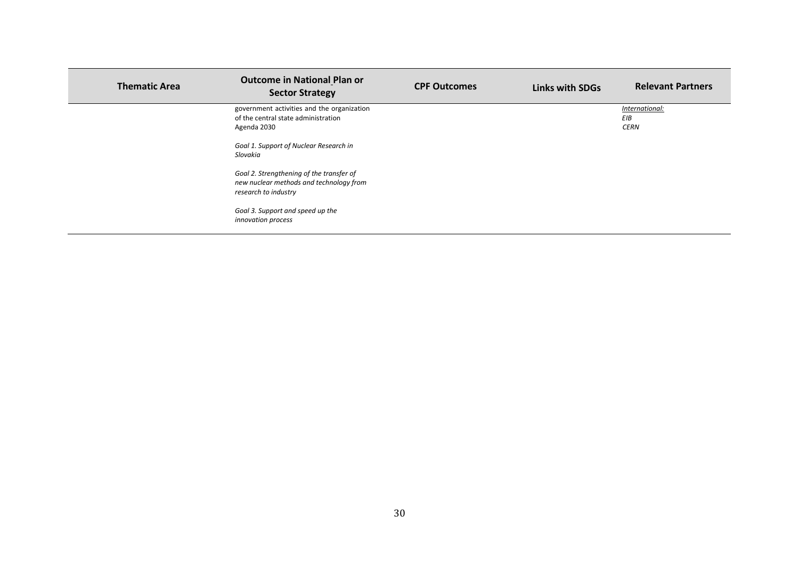| <b>Thematic Area</b> | <b>Outcome in National Plan or</b><br><b>Sector Strategy</b>                                                | <b>CPF Outcomes</b> | <b>Links with SDGs</b> | <b>Relevant Partners</b>             |
|----------------------|-------------------------------------------------------------------------------------------------------------|---------------------|------------------------|--------------------------------------|
|                      | government activities and the organization<br>of the central state administration<br>Agenda 2030            |                     |                        | International:<br>EIB<br><b>CERN</b> |
|                      | Goal 1. Support of Nuclear Research in<br>Slovakia                                                          |                     |                        |                                      |
|                      | Goal 2. Strengthening of the transfer of<br>new nuclear methods and technology from<br>research to industry |                     |                        |                                      |
|                      | Goal 3. Support and speed up the<br>innovation process                                                      |                     |                        |                                      |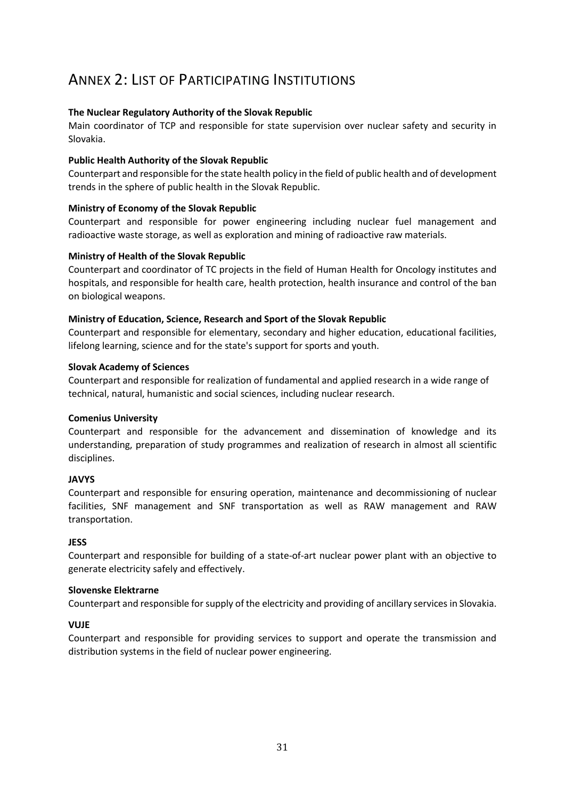# <span id="page-33-0"></span>ANNEX 2: LIST OF PARTICIPATING INSTITUTIONS

# **The Nuclear Regulatory Authority of the Slovak Republic**

Main coordinator of TCP and responsible for state supervision over nuclear safety and security in Slovakia.

## **Public Health Authority of the Slovak Republic**

Counterpart and responsible for the state health policy in the field of public health and of development trends in the sphere of public health in the Slovak Republic.

# **Ministry of Economy of the Slovak Republic**

Counterpart and responsible for power engineering including nuclear fuel management and radioactive waste storage, as well as exploration and mining of radioactive raw materials.

### **Ministry of Health of the Slovak Republic**

Counterpart and coordinator of TC projects in the field of Human Health for Oncology institutes and hospitals, and responsible for health care, health protection, health insurance and control of the ban on biological weapons.

### **Ministry of Education, Science, Research and Sport of the Slovak Republic**

Counterpart and responsible for elementary, secondary and higher education, educational facilities, lifelong learning, science and for the state's support for sports and youth.

### **Slovak Academy of Sciences**

Counterpart and responsible for realization of fundamental and applied research in a wide range of technical, natural, humanistic and social sciences, including nuclear research.

#### **Comenius University**

Counterpart and responsible for the advancement and dissemination of knowledge and its understanding, preparation of study programmes and realization of research in almost all scientific disciplines.

# **JAVYS**

Counterpart and responsible for ensuring operation, maintenance and decommissioning of nuclear facilities, SNF management and SNF transportation as well as RAW management and RAW transportation.

#### **JESS**

Counterpart and responsible for building of a state-of-art nuclear power plant with an objective to generate electricity safely and effectively.

#### **Slovenske Elektrarne**

Counterpart and responsible for supply of the electricity and providing of ancillary services in Slovakia.

#### **VUJE**

Counterpart and responsible for providing services to support and operate the transmission and distribution systems in the field of nuclear power engineering.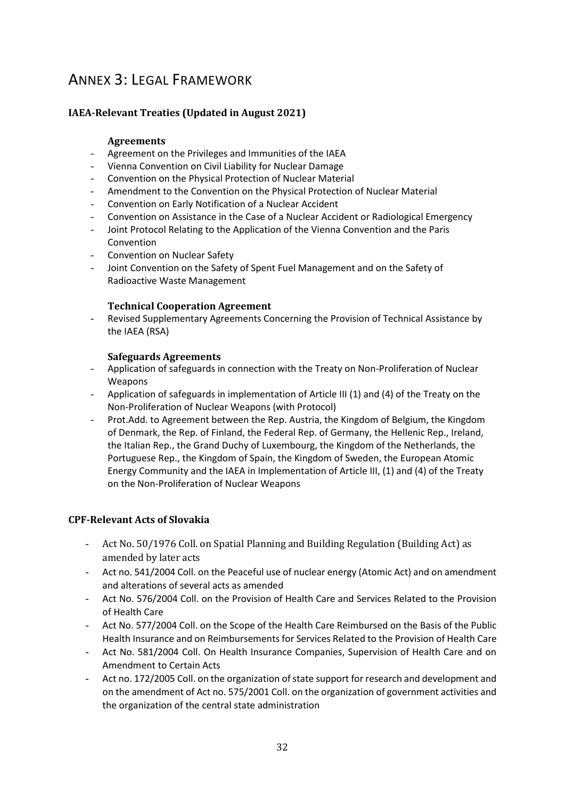# <span id="page-34-0"></span>ANNEX 3: LEGAL FRAMEWORK

# **IAEA-Relevant Treaties (Updated in August 2021)**

### **Agreements**

- Agreement on the Privileges and Immunities of the IAEA
- Vienna Convention on Civil Liability for Nuclear Damage
- Convention on the Physical Protection of Nuclear Material
- Amendment to the Convention on the Physical Protection of Nuclear Material
- Convention on Early Notification of a Nuclear Accident
- Convention on Assistance in the Case of a Nuclear Accident or Radiological Emergency
- Joint Protocol Relating to the Application of the Vienna Convention and the Paris Convention
- Convention on Nuclear Safety
- Joint Convention on the Safety of Spent Fuel Management and on the Safety of Radioactive Waste Management

### **Technical Cooperation Agreement**

Revised Supplementary Agreements Concerning the Provision of Technical Assistance by the IAEA (RSA)

### **Safeguards Agreements**

- Application of safeguards in connection with the Treaty on Non-Proliferation of Nuclear Weapons
- Application of safeguards in implementation of Article III (1) and (4) of the Treaty on the Non-Proliferation of Nuclear Weapons (with Protocol)
- Prot.Add. to Agreement between the Rep. Austria, the Kingdom of Belgium, the Kingdom of Denmark, the Rep. of Finland, the Federal Rep. of Germany, the Hellenic Rep., Ireland, the Italian Rep., the Grand Duchy of Luxembourg, the Kingdom of the Netherlands, the Portuguese Rep., the Kingdom of Spain, the Kingdom of Sweden, the European Atomic Energy Community and the IAEA in Implementation of Article III, (1) and (4) of the Treaty on the Non-Proliferation of Nuclear Weapons

# **CPF-Relevant Acts of Slovakia**

- Act No. 50/1976 Coll. on Spatial Planning and Building Regulation (Building Act) as amended by later acts
- Act no. 541/2004 Coll. on the Peaceful use of nuclear energy (Atomic Act) and on amendment and alterations of several acts as amended
- Act No. 576/2004 Coll. on the Provision of Health Care and Services Related to the Provision of Health Care
- Act No. 577/2004 Coll. on the Scope of the Health Care Reimbursed on the Basis of the Public Health Insurance and on Reimbursements for Services Related to the Provision of Health Care
- Act No. 581/2004 Coll. On Health Insurance Companies, Supervision of Health Care and on Amendment to Certain Acts
- Act no. 172/2005 Coll. on the organization of state support for research and development and on the amendment of Act no. 575/2001 Coll. on the organization of government activities and the organization of the central state administration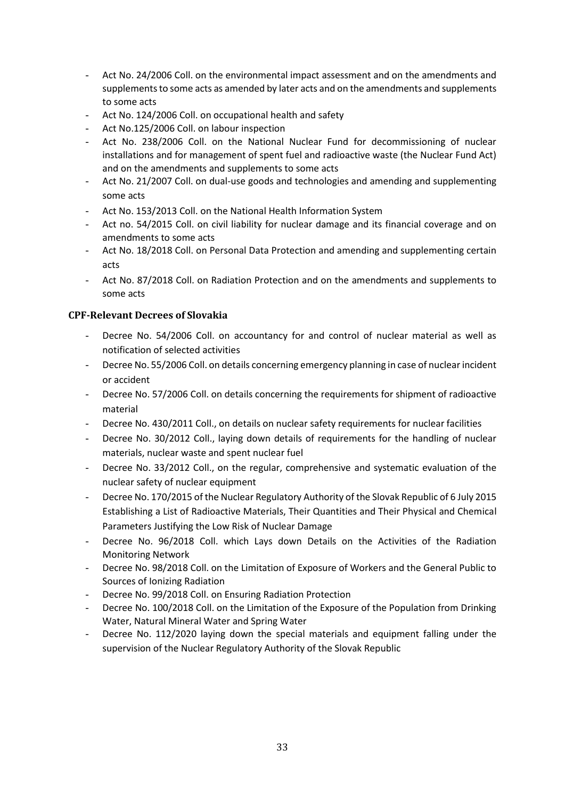- Act No. 24/2006 Coll. on the environmental impact assessment and on the amendments and supplements to some acts as amended by later acts and on the amendments and supplements to some acts
- Act No. 124/2006 Coll. on occupational health and safety
- Act No.125/2006 Coll. on labour inspection
- Act No. 238/2006 Coll. on the National Nuclear Fund for decommissioning of nuclear installations and for management of spent fuel and radioactive waste (the Nuclear Fund Act) and on the amendments and supplements to some acts
- Act No. 21/2007 Coll. on dual-use goods and technologies and amending and supplementing some acts
- Act No. 153/2013 Coll. on the National Health Information System
- Act no. 54/2015 Coll. on civil liability for nuclear damage and its financial coverage and on amendments to some acts
- Act No. 18/2018 Coll. on Personal Data Protection and amending and supplementing certain acts
- Act No. 87/2018 Coll. on Radiation Protection and on the amendments and supplements to some acts

# **CPF-Relevant Decrees of Slovakia**

- Decree No. 54/2006 Coll. on accountancy for and control of nuclear material as well as notification of selected activities
- Decree No. 55/2006 Coll. on details concerning emergency planning in case of nuclear incident or accident
- Decree No. 57/2006 Coll. on details concerning the requirements for shipment of radioactive material
- Decree No. 430/2011 Coll., on details on nuclear safety requirements for nuclear facilities
- Decree No. 30/2012 Coll., laying down details of requirements for the handling of nuclear materials, nuclear waste and spent nuclear fuel
- Decree No. 33/2012 Coll., on the regular, comprehensive and systematic evaluation of the nuclear safety of nuclear equipment
- Decree No. 170/2015 of the Nuclear Regulatory Authority of the Slovak Republic of 6 July 2015 Establishing a List of Radioactive Materials, Their Quantities and Their Physical and Chemical Parameters Justifying the Low Risk of Nuclear Damage
- Decree No. 96/2018 Coll. which Lays down Details on the Activities of the Radiation Monitoring Network
- Decree No. 98/2018 Coll. on the Limitation of Exposure of Workers and the General Public to Sources of Ionizing Radiation
- Decree No. 99/2018 Coll. on Ensuring Radiation Protection
- Decree No. 100/2018 Coll. on the Limitation of the Exposure of the Population from Drinking Water, Natural Mineral Water and Spring Water
- Decree No. 112/2020 laying down the special materials and equipment falling under the supervision of the Nuclear Regulatory Authority of the Slovak Republic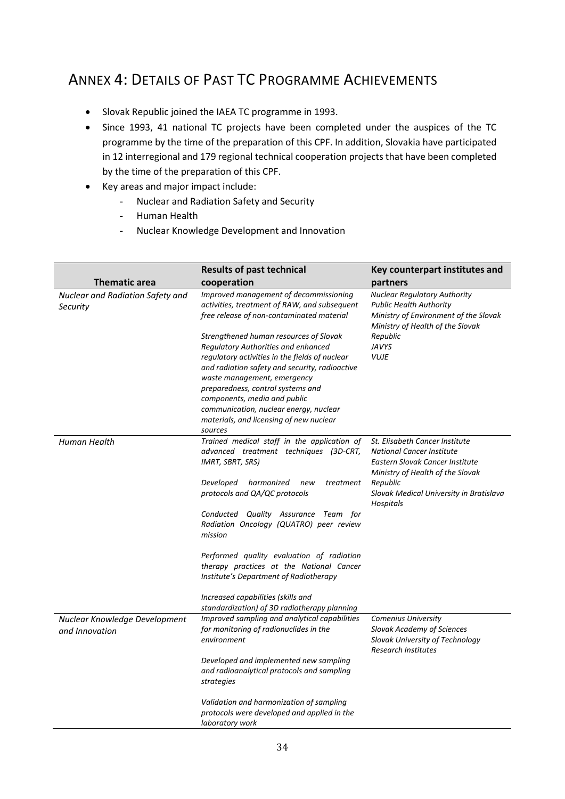# <span id="page-36-0"></span>ANNEX 4: DETAILS OF PAST TC PROGRAMME ACHIEVEMENTS

- Slovak Republic joined the IAEA TC programme in 1993.
- Since 1993, 41 national TC projects have been completed under the auspices of the TC programme by the time of the preparation of this CPF. In addition, Slovakia have participated in 12 interregional and 179 regional technical cooperation projects that have been completed by the time of the preparation of this CPF.
- Key areas and major impact include:
	- Nuclear and Radiation Safety and Security
	- Human Health
	- Nuclear Knowledge Development and Innovation

|                                                 | <b>Results of past technical</b>                                                                                                                                                                                                                                                                                                                                                      | Key counterpart institutes and                                                                                                                                                                |
|-------------------------------------------------|---------------------------------------------------------------------------------------------------------------------------------------------------------------------------------------------------------------------------------------------------------------------------------------------------------------------------------------------------------------------------------------|-----------------------------------------------------------------------------------------------------------------------------------------------------------------------------------------------|
| <b>Thematic area</b>                            | cooperation                                                                                                                                                                                                                                                                                                                                                                           | partners                                                                                                                                                                                      |
| Nuclear and Radiation Safety and<br>Security    | Improved management of decommissioning<br>activities, treatment of RAW, and subsequent<br>free release of non-contaminated material                                                                                                                                                                                                                                                   | <b>Nuclear Regulatory Authority</b><br><b>Public Health Authority</b><br>Ministry of Environment of the Slovak<br>Ministry of Health of the Slovak<br>Republic<br><b>JAVYS</b><br><b>VUJE</b> |
|                                                 | Strengthened human resources of Slovak<br>Regulatory Authorities and enhanced<br>regulatory activities in the fields of nuclear<br>and radiation safety and security, radioactive<br>waste management, emergency<br>preparedness, control systems and<br>components, media and public<br>communication, nuclear energy, nuclear<br>materials, and licensing of new nuclear<br>sources |                                                                                                                                                                                               |
| Human Health                                    | Trained medical staff in the application of<br>advanced treatment techniques (3D-CRT,<br>IMRT, SBRT, SRS)                                                                                                                                                                                                                                                                             | St. Elisabeth Cancer Institute<br><b>National Cancer Institute</b><br>Eastern Slovak Cancer Institute<br>Ministry of Health of the Slovak                                                     |
|                                                 | Developed<br>harmonized<br>treatment<br>new<br>protocols and QA/QC protocols                                                                                                                                                                                                                                                                                                          | Republic<br>Slovak Medical University in Bratislava<br>Hospitals                                                                                                                              |
|                                                 | Conducted Quality Assurance Team for<br>Radiation Oncology (QUATRO) peer review<br>mission                                                                                                                                                                                                                                                                                            |                                                                                                                                                                                               |
|                                                 | Performed quality evaluation of radiation<br>therapy practices at the National Cancer<br>Institute's Department of Radiotherapy                                                                                                                                                                                                                                                       |                                                                                                                                                                                               |
|                                                 | Increased capabilities (skills and<br>standardization) of 3D radiotherapy planning                                                                                                                                                                                                                                                                                                    |                                                                                                                                                                                               |
| Nuclear Knowledge Development<br>and Innovation | Improved sampling and analytical capabilities<br>for monitoring of radionuclides in the<br>environment                                                                                                                                                                                                                                                                                | Comenius University<br>Slovak Academy of Sciences<br>Slovak University of Technology<br><b>Research Institutes</b>                                                                            |
|                                                 | Developed and implemented new sampling<br>and radioanalytical protocols and sampling<br>strategies                                                                                                                                                                                                                                                                                    |                                                                                                                                                                                               |
|                                                 | Validation and harmonization of sampling<br>protocols were developed and applied in the<br>laboratory work                                                                                                                                                                                                                                                                            |                                                                                                                                                                                               |